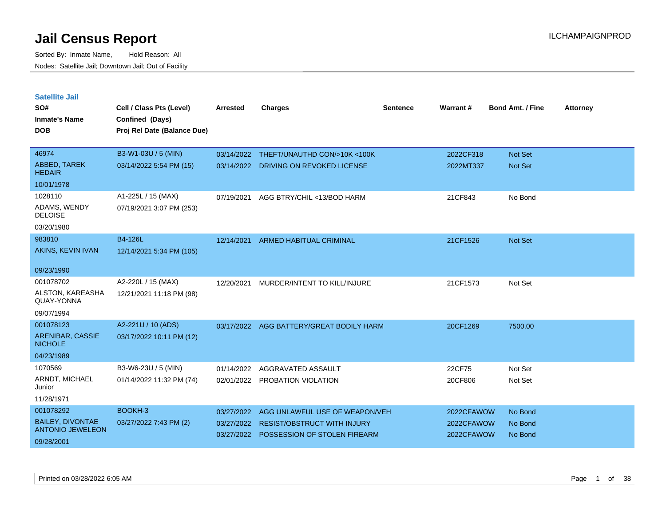| <b>Satellite Jail</b><br>SO#          | Cell / Class Pts (Level)    | <b>Arrested</b> | <b>Charges</b>                     | <b>Sentence</b> | <b>Warrant#</b> | <b>Bond Amt. / Fine</b> | <b>Attorney</b> |
|---------------------------------------|-----------------------------|-----------------|------------------------------------|-----------------|-----------------|-------------------------|-----------------|
| Inmate's Name                         | Confined (Days)             |                 |                                    |                 |                 |                         |                 |
| <b>DOB</b>                            | Proj Rel Date (Balance Due) |                 |                                    |                 |                 |                         |                 |
| 46974                                 | B3-W1-03U / 5 (MIN)         | 03/14/2022      | THEFT/UNAUTHD CON/>10K <100K       |                 | 2022CF318       | <b>Not Set</b>          |                 |
| <b>ABBED, TAREK</b><br><b>HEDAIR</b>  | 03/14/2022 5:54 PM (15)     | 03/14/2022      | DRIVING ON REVOKED LICENSE         |                 | 2022MT337       | <b>Not Set</b>          |                 |
| 10/01/1978                            |                             |                 |                                    |                 |                 |                         |                 |
| 1028110                               | A1-225L / 15 (MAX)          | 07/19/2021      | AGG BTRY/CHIL <13/BOD HARM         |                 | 21CF843         | No Bond                 |                 |
| ADAMS, WENDY<br><b>DELOISE</b>        | 07/19/2021 3:07 PM (253)    |                 |                                    |                 |                 |                         |                 |
| 03/20/1980                            |                             |                 |                                    |                 |                 |                         |                 |
| 983810                                | <b>B4-126L</b>              | 12/14/2021      | <b>ARMED HABITUAL CRIMINAL</b>     |                 | 21CF1526        | <b>Not Set</b>          |                 |
| AKINS, KEVIN IVAN                     | 12/14/2021 5:34 PM (105)    |                 |                                    |                 |                 |                         |                 |
| 09/23/1990                            |                             |                 |                                    |                 |                 |                         |                 |
| 001078702                             | A2-220L / 15 (MAX)          | 12/20/2021      | MURDER/INTENT TO KILL/INJURE       |                 | 21CF1573        | Not Set                 |                 |
| ALSTON, KAREASHA<br>QUAY-YONNA        | 12/21/2021 11:18 PM (98)    |                 |                                    |                 |                 |                         |                 |
| 09/07/1994                            |                             |                 |                                    |                 |                 |                         |                 |
| 001078123                             | A2-221U / 10 (ADS)          | 03/17/2022      | AGG BATTERY/GREAT BODILY HARM      |                 | 20CF1269        | 7500.00                 |                 |
| ARENIBAR, CASSIE<br><b>NICHOLE</b>    | 03/17/2022 10:11 PM (12)    |                 |                                    |                 |                 |                         |                 |
| 04/23/1989                            |                             |                 |                                    |                 |                 |                         |                 |
| 1070569                               | B3-W6-23U / 5 (MIN)         | 01/14/2022      | AGGRAVATED ASSAULT                 |                 | 22CF75          | Not Set                 |                 |
| ARNDT, MICHAEL<br>Junior              | 01/14/2022 11:32 PM (74)    | 02/01/2022      | PROBATION VIOLATION                |                 | 20CF806         | Not Set                 |                 |
| 11/28/1971                            |                             |                 |                                    |                 |                 |                         |                 |
| 001078292                             | BOOKH-3                     | 03/27/2022      | AGG UNLAWFUL USE OF WEAPON/VEH     |                 | 2022CFAWOW      | No Bond                 |                 |
| <b>BAILEY, DIVONTAE</b>               | 03/27/2022 7:43 PM (2)      | 03/27/2022      | <b>RESIST/OBSTRUCT WITH INJURY</b> |                 | 2022CFAWOW      | No Bond                 |                 |
| <b>ANTONIO JEWELEON</b><br>09/28/2001 |                             | 03/27/2022      | POSSESSION OF STOLEN FIREARM       |                 | 2022CFAWOW      | No Bond                 |                 |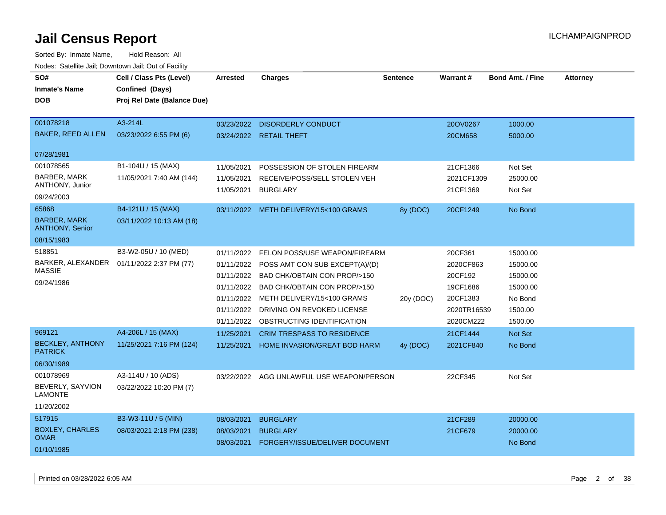| SO#                                           | Cell / Class Pts (Level)                   | <b>Arrested</b> | <b>Charges</b>                            | <b>Sentence</b> | <b>Warrant#</b> | <b>Bond Amt. / Fine</b> | <b>Attorney</b> |
|-----------------------------------------------|--------------------------------------------|-----------------|-------------------------------------------|-----------------|-----------------|-------------------------|-----------------|
| <b>Inmate's Name</b>                          | Confined (Days)                            |                 |                                           |                 |                 |                         |                 |
| <b>DOB</b>                                    | Proj Rel Date (Balance Due)                |                 |                                           |                 |                 |                         |                 |
|                                               |                                            |                 |                                           |                 |                 |                         |                 |
| 001078218                                     | A3-214L                                    | 03/23/2022      | <b>DISORDERLY CONDUCT</b>                 |                 | 20OV0267        | 1000.00                 |                 |
| <b>BAKER, REED ALLEN</b>                      | 03/23/2022 6:55 PM (6)                     |                 | 03/24/2022 RETAIL THEFT                   |                 | 20CM658         | 5000.00                 |                 |
| 07/28/1981                                    |                                            |                 |                                           |                 |                 |                         |                 |
| 001078565                                     | B1-104U / 15 (MAX)                         | 11/05/2021      | POSSESSION OF STOLEN FIREARM              |                 | 21CF1366        | Not Set                 |                 |
| BARBER, MARK                                  | 11/05/2021 7:40 AM (144)                   | 11/05/2021      | RECEIVE/POSS/SELL STOLEN VEH              |                 | 2021CF1309      | 25000.00                |                 |
| ANTHONY, Junior                               |                                            | 11/05/2021      | <b>BURGLARY</b>                           |                 | 21CF1369        | Not Set                 |                 |
| 09/24/2003                                    |                                            |                 |                                           |                 |                 |                         |                 |
| 65868                                         | B4-121U / 15 (MAX)                         |                 | 03/11/2022 METH DELIVERY/15<100 GRAMS     | 8y (DOC)        | 20CF1249        | No Bond                 |                 |
| <b>BARBER, MARK</b><br><b>ANTHONY, Senior</b> | 03/11/2022 10:13 AM (18)                   |                 |                                           |                 |                 |                         |                 |
| 08/15/1983                                    |                                            |                 |                                           |                 |                 |                         |                 |
| 518851                                        | B3-W2-05U / 10 (MED)                       | 01/11/2022      | FELON POSS/USE WEAPON/FIREARM             |                 | 20CF361         | 15000.00                |                 |
|                                               | BARKER, ALEXANDER  01/11/2022 2:37 PM (77) | 01/11/2022      | POSS AMT CON SUB EXCEPT(A)/(D)            |                 | 2020CF863       | 15000.00                |                 |
| <b>MASSIE</b>                                 |                                            |                 | 01/11/2022 BAD CHK/OBTAIN CON PROP/>150   |                 | 20CF192         | 15000.00                |                 |
| 09/24/1986                                    |                                            |                 | 01/11/2022 BAD CHK/OBTAIN CON PROP/>150   |                 | 19CF1686        | 15000.00                |                 |
|                                               |                                            |                 | 01/11/2022 METH DELIVERY/15<100 GRAMS     | 20y (DOC)       | 20CF1383        | No Bond                 |                 |
|                                               |                                            | 01/11/2022      | DRIVING ON REVOKED LICENSE                |                 | 2020TR16539     | 1500.00                 |                 |
|                                               |                                            |                 | 01/11/2022 OBSTRUCTING IDENTIFICATION     |                 | 2020CM222       | 1500.00                 |                 |
| 969121                                        | A4-206L / 15 (MAX)                         | 11/25/2021      | <b>CRIM TRESPASS TO RESIDENCE</b>         |                 | 21CF1444        | <b>Not Set</b>          |                 |
| <b>BECKLEY, ANTHONY</b><br><b>PATRICK</b>     | 11/25/2021 7:16 PM (124)                   | 11/25/2021      | HOME INVASION/GREAT BOD HARM              | 4y (DOC)        | 2021CF840       | No Bond                 |                 |
| 06/30/1989                                    |                                            |                 |                                           |                 |                 |                         |                 |
| 001078969                                     | A3-114U / 10 (ADS)                         |                 | 03/22/2022 AGG UNLAWFUL USE WEAPON/PERSON |                 | 22CF345         | Not Set                 |                 |
| BEVERLY, SAYVION<br><b>LAMONTE</b>            | 03/22/2022 10:20 PM (7)                    |                 |                                           |                 |                 |                         |                 |
| 11/20/2002                                    |                                            |                 |                                           |                 |                 |                         |                 |
| 517915                                        | B3-W3-11U / 5 (MIN)                        | 08/03/2021      | <b>BURGLARY</b>                           |                 | 21CF289         | 20000.00                |                 |
| <b>BOXLEY, CHARLES</b>                        | 08/03/2021 2:18 PM (238)                   | 08/03/2021      | <b>BURGLARY</b>                           |                 | 21CF679         | 20000.00                |                 |
| <b>OMAR</b>                                   |                                            | 08/03/2021      | FORGERY/ISSUE/DELIVER DOCUMENT            |                 |                 | No Bond                 |                 |
| 01/10/1985                                    |                                            |                 |                                           |                 |                 |                         |                 |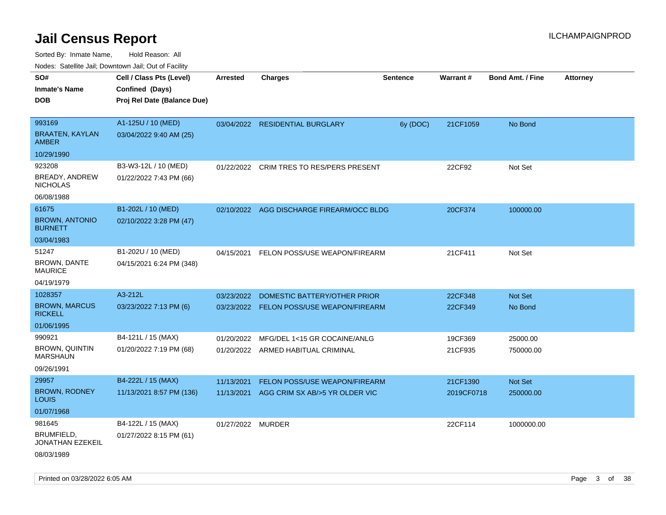| Nodes: Satellite Jail; Downtown Jail; Out of Facility |                             |                 |                                          |                 |            |                         |          |
|-------------------------------------------------------|-----------------------------|-----------------|------------------------------------------|-----------------|------------|-------------------------|----------|
| SO#                                                   | Cell / Class Pts (Level)    | <b>Arrested</b> | <b>Charges</b>                           | <b>Sentence</b> | Warrant#   | <b>Bond Amt. / Fine</b> | Attorney |
| <b>Inmate's Name</b>                                  | Confined (Days)             |                 |                                          |                 |            |                         |          |
| <b>DOB</b>                                            | Proj Rel Date (Balance Due) |                 |                                          |                 |            |                         |          |
|                                                       |                             |                 |                                          |                 |            |                         |          |
| 993169                                                | A1-125U / 10 (MED)          |                 | 03/04/2022 RESIDENTIAL BURGLARY          | 6y (DOC)        | 21CF1059   | No Bond                 |          |
| <b>BRAATEN, KAYLAN</b><br><b>AMBER</b>                | 03/04/2022 9:40 AM (25)     |                 |                                          |                 |            |                         |          |
| 10/29/1990                                            |                             |                 |                                          |                 |            |                         |          |
| 923208                                                | B3-W3-12L / 10 (MED)        |                 | 01/22/2022 CRIM TRES TO RES/PERS PRESENT |                 | 22CF92     | Not Set                 |          |
| BREADY, ANDREW<br><b>NICHOLAS</b>                     | 01/22/2022 7:43 PM (66)     |                 |                                          |                 |            |                         |          |
| 06/08/1988                                            |                             |                 |                                          |                 |            |                         |          |
| 61675                                                 | B1-202L / 10 (MED)          | 02/10/2022      | AGG DISCHARGE FIREARM/OCC BLDG           |                 | 20CF374    | 100000.00               |          |
| <b>BROWN, ANTONIO</b><br><b>BURNETT</b>               | 02/10/2022 3:28 PM (47)     |                 |                                          |                 |            |                         |          |
| 03/04/1983                                            |                             |                 |                                          |                 |            |                         |          |
| 51247                                                 | B1-202U / 10 (MED)          | 04/15/2021      | FELON POSS/USE WEAPON/FIREARM            |                 | 21CF411    | Not Set                 |          |
| <b>BROWN, DANTE</b><br><b>MAURICE</b>                 | 04/15/2021 6:24 PM (348)    |                 |                                          |                 |            |                         |          |
| 04/19/1979                                            |                             |                 |                                          |                 |            |                         |          |
| 1028357                                               | A3-212L                     | 03/23/2022      | DOMESTIC BATTERY/OTHER PRIOR             |                 | 22CF348    | Not Set                 |          |
| <b>BROWN, MARCUS</b><br><b>RICKELL</b>                | 03/23/2022 7:13 PM (6)      |                 | 03/23/2022 FELON POSS/USE WEAPON/FIREARM |                 | 22CF349    | No Bond                 |          |
| 01/06/1995                                            |                             |                 |                                          |                 |            |                         |          |
| 990921                                                | B4-121L / 15 (MAX)          | 01/20/2022      | MFG/DEL 1<15 GR COCAINE/ANLG             |                 | 19CF369    | 25000.00                |          |
| <b>BROWN, QUINTIN</b><br><b>MARSHAUN</b>              | 01/20/2022 7:19 PM (68)     |                 | 01/20/2022 ARMED HABITUAL CRIMINAL       |                 | 21CF935    | 750000.00               |          |
| 09/26/1991                                            |                             |                 |                                          |                 |            |                         |          |
| 29957                                                 | B4-222L / 15 (MAX)          | 11/13/2021      | <b>FELON POSS/USE WEAPON/FIREARM</b>     |                 | 21CF1390   | Not Set                 |          |
| <b>BROWN, RODNEY</b><br>LOUIS                         | 11/13/2021 8:57 PM (136)    | 11/13/2021      | AGG CRIM SX AB/>5 YR OLDER VIC           |                 | 2019CF0718 | 250000.00               |          |
| 01/07/1968                                            |                             |                 |                                          |                 |            |                         |          |
| 981645                                                | B4-122L / 15 (MAX)          | 01/27/2022      | <b>MURDER</b>                            |                 | 22CF114    | 1000000.00              |          |
| BRUMFIELD,<br>JONATHAN EZEKEIL                        | 01/27/2022 8:15 PM (61)     |                 |                                          |                 |            |                         |          |
| 08/03/1989                                            |                             |                 |                                          |                 |            |                         |          |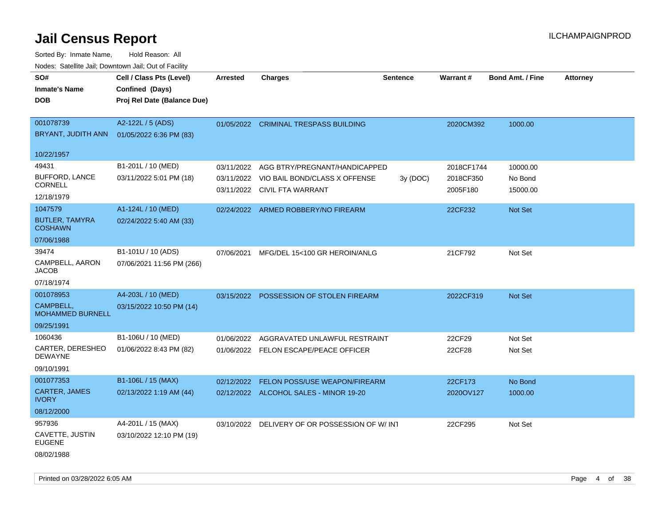Sorted By: Inmate Name, Hold Reason: All Nodes: Satellite Jail; Downtown Jail; Out of Facility

| SO#<br><b>Inmate's Name</b><br><b>DOB</b> | Cell / Class Pts (Level)<br>Confined (Days)<br>Proj Rel Date (Balance Due) | <b>Arrested</b> | <b>Charges</b>                         | <b>Sentence</b> | Warrant#   | <b>Bond Amt. / Fine</b> | <b>Attorney</b> |
|-------------------------------------------|----------------------------------------------------------------------------|-----------------|----------------------------------------|-----------------|------------|-------------------------|-----------------|
| 001078739                                 | A2-122L / 5 (ADS)                                                          |                 |                                        |                 |            |                         |                 |
| BRYANT, JUDITH ANN                        | 01/05/2022 6:36 PM (83)                                                    |                 | 01/05/2022 CRIMINAL TRESPASS BUILDING  |                 | 2020CM392  | 1000.00                 |                 |
|                                           |                                                                            |                 |                                        |                 |            |                         |                 |
| 10/22/1957                                |                                                                            |                 |                                        |                 |            |                         |                 |
| 49431                                     | B1-201L / 10 (MED)                                                         | 03/11/2022      | AGG BTRY/PREGNANT/HANDICAPPED          |                 | 2018CF1744 | 10000.00                |                 |
| <b>BUFFORD, LANCE</b><br>CORNELL          | 03/11/2022 5:01 PM (18)                                                    | 03/11/2022      | VIO BAIL BOND/CLASS X OFFENSE          | 3y (DOC)        | 2018CF350  | No Bond                 |                 |
| 12/18/1979                                |                                                                            |                 | 03/11/2022 CIVIL FTA WARRANT           |                 | 2005F180   | 15000.00                |                 |
| 1047579                                   | A1-124L / 10 (MED)                                                         |                 | 02/24/2022 ARMED ROBBERY/NO FIREARM    |                 | 22CF232    | Not Set                 |                 |
| <b>BUTLER, TAMYRA</b><br><b>COSHAWN</b>   | 02/24/2022 5:40 AM (33)                                                    |                 |                                        |                 |            |                         |                 |
| 07/06/1988                                |                                                                            |                 |                                        |                 |            |                         |                 |
| 39474                                     | B1-101U / 10 (ADS)                                                         | 07/06/2021      | MFG/DEL 15<100 GR HEROIN/ANLG          |                 | 21CF792    | Not Set                 |                 |
| CAMPBELL, AARON<br><b>JACOB</b>           | 07/06/2021 11:56 PM (266)                                                  |                 |                                        |                 |            |                         |                 |
| 07/18/1974                                |                                                                            |                 |                                        |                 |            |                         |                 |
| 001078953                                 | A4-203L / 10 (MED)                                                         | 03/15/2022      | POSSESSION OF STOLEN FIREARM           |                 | 2022CF319  | <b>Not Set</b>          |                 |
| CAMPBELL,<br><b>MOHAMMED BURNELL</b>      | 03/15/2022 10:50 PM (14)                                                   |                 |                                        |                 |            |                         |                 |
| 09/25/1991                                |                                                                            |                 |                                        |                 |            |                         |                 |
| 1060436                                   | B1-106U / 10 (MED)                                                         | 01/06/2022      | AGGRAVATED UNLAWFUL RESTRAINT          |                 | 22CF29     | Not Set                 |                 |
| CARTER, DERESHEO<br><b>DEWAYNE</b>        | 01/06/2022 8:43 PM (82)                                                    |                 | 01/06/2022 FELON ESCAPE/PEACE OFFICER  |                 | 22CF28     | Not Set                 |                 |
| 09/10/1991                                |                                                                            |                 |                                        |                 |            |                         |                 |
| 001077353                                 | B1-106L / 15 (MAX)                                                         | 02/12/2022      | FELON POSS/USE WEAPON/FIREARM          |                 | 22CF173    | No Bond                 |                 |
| CARTER, JAMES<br><b>IVORY</b>             | 02/13/2022 1:19 AM (44)                                                    |                 | 02/12/2022 ALCOHOL SALES - MINOR 19-20 |                 | 2020OV127  | 1000.00                 |                 |
| 08/12/2000                                |                                                                            |                 |                                        |                 |            |                         |                 |
| 957936                                    | A4-201L / 15 (MAX)                                                         | 03/10/2022      | DELIVERY OF OR POSSESSION OF W/INT     |                 | 22CF295    | Not Set                 |                 |
| CAVETTE, JUSTIN<br><b>EUGENE</b>          | 03/10/2022 12:10 PM (19)                                                   |                 |                                        |                 |            |                         |                 |
| 08/02/1988                                |                                                                            |                 |                                        |                 |            |                         |                 |

Printed on 03/28/2022 6:05 AM Page 4 of 38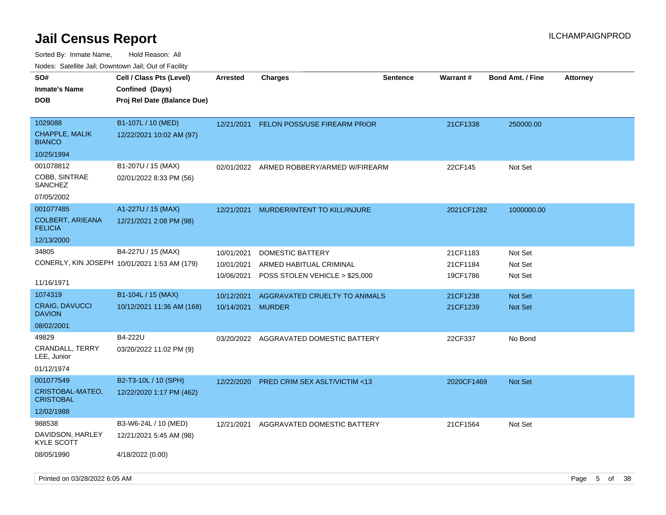| 10000. Catolino can, Domntonn can, Cat or I doint |                                                                                   |                 |                                          |                 |            |                         |                 |
|---------------------------------------------------|-----------------------------------------------------------------------------------|-----------------|------------------------------------------|-----------------|------------|-------------------------|-----------------|
| SO#<br>Inmate's Name<br>DOB                       | Cell / Class Pts (Level)<br><b>Confined (Days)</b><br>Proj Rel Date (Balance Due) | <b>Arrested</b> | <b>Charges</b>                           | <b>Sentence</b> | Warrant#   | <b>Bond Amt. / Fine</b> | <b>Attorney</b> |
|                                                   |                                                                                   |                 |                                          |                 |            |                         |                 |
| 1029088<br><b>CHAPPLE, MALIK</b><br><b>BIANCO</b> | B1-107L / 10 (MED)<br>12/22/2021 10:02 AM (97)                                    | 12/21/2021      | <b>FELON POSS/USE FIREARM PRIOR</b>      |                 | 21CF1338   | 250000.00               |                 |
| 10/25/1994                                        |                                                                                   |                 |                                          |                 |            |                         |                 |
| 001078812                                         | B1-207U / 15 (MAX)                                                                |                 | 02/01/2022 ARMED ROBBERY/ARMED W/FIREARM |                 | 22CF145    | Not Set                 |                 |
| COBB, SINTRAE<br>SANCHEZ                          | 02/01/2022 8:33 PM (56)                                                           |                 |                                          |                 |            |                         |                 |
| 07/05/2002                                        |                                                                                   |                 |                                          |                 |            |                         |                 |
| 001077485                                         | A1-227U / 15 (MAX)                                                                | 12/21/2021      | MURDER/INTENT TO KILL/INJURE             |                 | 2021CF1282 | 1000000.00              |                 |
| COLBERT, ARIEANA<br><b>FELICIA</b>                | 12/21/2021 2:08 PM (98)                                                           |                 |                                          |                 |            |                         |                 |
| 12/13/2000                                        |                                                                                   |                 |                                          |                 |            |                         |                 |
| 34805                                             | B4-227U / 15 (MAX)                                                                | 10/01/2021      | <b>DOMESTIC BATTERY</b>                  |                 | 21CF1183   | Not Set                 |                 |
|                                                   | CONERLY, KIN JOSEPH 10/01/2021 1:53 AM (179)                                      | 10/01/2021      | ARMED HABITUAL CRIMINAL                  |                 | 21CF1184   | Not Set                 |                 |
| 11/16/1971                                        |                                                                                   | 10/06/2021      | POSS STOLEN VEHICLE > \$25,000           |                 | 19CF1786   | Not Set                 |                 |
| 1074319                                           | B1-104L / 15 (MAX)                                                                | 10/12/2021      | AGGRAVATED CRUELTY TO ANIMALS            |                 | 21CF1238   | Not Set                 |                 |
| <b>CRAIG, DAVUCCI</b><br><b>DAVION</b>            | 10/12/2021 11:36 AM (168)                                                         | 10/14/2021      | <b>MURDER</b>                            |                 | 21CF1239   | <b>Not Set</b>          |                 |
| 08/02/2001                                        |                                                                                   |                 |                                          |                 |            |                         |                 |
| 49829                                             | B4-222U                                                                           | 03/20/2022      | AGGRAVATED DOMESTIC BATTERY              |                 | 22CF337    | No Bond                 |                 |
| CRANDALL, TERRY<br>LEE, Junior                    | 03/20/2022 11:02 PM (9)                                                           |                 |                                          |                 |            |                         |                 |
| 01/12/1974                                        |                                                                                   |                 |                                          |                 |            |                         |                 |
| 001077549                                         | B2-T3-10L / 10 (SPH)                                                              | 12/22/2020      | <b>PRED CRIM SEX ASLT/VICTIM &lt;13</b>  |                 | 2020CF1469 | <b>Not Set</b>          |                 |
| CRISTOBAL-MATEO,<br>CRISTOBAL                     | 12/22/2020 1:17 PM (462)                                                          |                 |                                          |                 |            |                         |                 |
| 12/02/1988                                        |                                                                                   |                 |                                          |                 |            |                         |                 |
| 988538                                            | B3-W6-24L / 10 (MED)                                                              | 12/21/2021      | AGGRAVATED DOMESTIC BATTERY              |                 | 21CF1564   | Not Set                 |                 |
| DAVIDSON, HARLEY<br>KYLE SCOTT                    | 12/21/2021 5:45 AM (98)                                                           |                 |                                          |                 |            |                         |                 |
| 08/05/1990                                        | 4/18/2022 (0.00)                                                                  |                 |                                          |                 |            |                         |                 |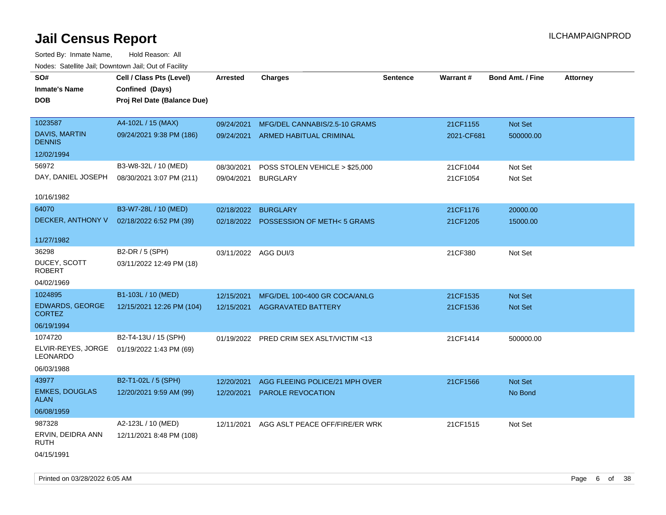Sorted By: Inmate Name, Hold Reason: All Nodes: Satellite Jail; Downtown Jail; Out of Facility

| roaco. Catolino cali, Domntonn cali, Out of Facility |                             |                      |                                          |                 |            |                         |                 |
|------------------------------------------------------|-----------------------------|----------------------|------------------------------------------|-----------------|------------|-------------------------|-----------------|
| SO#                                                  | Cell / Class Pts (Level)    | Arrested             | <b>Charges</b>                           | <b>Sentence</b> | Warrant#   | <b>Bond Amt. / Fine</b> | <b>Attorney</b> |
| <b>Inmate's Name</b>                                 | Confined (Days)             |                      |                                          |                 |            |                         |                 |
| <b>DOB</b>                                           | Proj Rel Date (Balance Due) |                      |                                          |                 |            |                         |                 |
|                                                      |                             |                      |                                          |                 |            |                         |                 |
| 1023587                                              | A4-102L / 15 (MAX)          | 09/24/2021           | MFG/DEL CANNABIS/2.5-10 GRAMS            |                 | 21CF1155   | Not Set                 |                 |
| <b>DAVIS, MARTIN</b><br><b>DENNIS</b>                | 09/24/2021 9:38 PM (186)    |                      | 09/24/2021 ARMED HABITUAL CRIMINAL       |                 | 2021-CF681 | 500000.00               |                 |
| 12/02/1994                                           |                             |                      |                                          |                 |            |                         |                 |
| 56972                                                | B3-W8-32L / 10 (MED)        | 08/30/2021           | POSS STOLEN VEHICLE > \$25,000           |                 | 21CF1044   | Not Set                 |                 |
| DAY, DANIEL JOSEPH                                   | 08/30/2021 3:07 PM (211)    | 09/04/2021           | <b>BURGLARY</b>                          |                 | 21CF1054   | Not Set                 |                 |
|                                                      |                             |                      |                                          |                 |            |                         |                 |
| 10/16/1982                                           |                             |                      |                                          |                 |            |                         |                 |
| 64070                                                | B3-W7-28L / 10 (MED)        | 02/18/2022           | <b>BURGLARY</b>                          |                 | 21CF1176   | 20000.00                |                 |
| DECKER, ANTHONY V                                    | 02/18/2022 6:52 PM (39)     |                      | 02/18/2022 POSSESSION OF METH< 5 GRAMS   |                 | 21CF1205   | 15000.00                |                 |
|                                                      |                             |                      |                                          |                 |            |                         |                 |
| 11/27/1982                                           |                             |                      |                                          |                 |            |                         |                 |
| 36298                                                | B2-DR / 5 (SPH)             | 03/11/2022 AGG DUI/3 |                                          |                 | 21CF380    | Not Set                 |                 |
| DUCEY, SCOTT<br><b>ROBERT</b>                        | 03/11/2022 12:49 PM (18)    |                      |                                          |                 |            |                         |                 |
| 04/02/1969                                           |                             |                      |                                          |                 |            |                         |                 |
| 1024895                                              | B1-103L / 10 (MED)          | 12/15/2021           | MFG/DEL 100<400 GR COCA/ANLG             |                 | 21CF1535   | Not Set                 |                 |
| EDWARDS, GEORGE                                      | 12/15/2021 12:26 PM (104)   | 12/15/2021           | <b>AGGRAVATED BATTERY</b>                |                 | 21CF1536   | Not Set                 |                 |
| <b>CORTEZ</b>                                        |                             |                      |                                          |                 |            |                         |                 |
| 06/19/1994                                           |                             |                      |                                          |                 |            |                         |                 |
| 1074720                                              | B2-T4-13U / 15 (SPH)        |                      | 01/19/2022 PRED CRIM SEX ASLT/VICTIM <13 |                 | 21CF1414   | 500000.00               |                 |
| ELVIR-REYES, JORGE<br>LEONARDO                       | 01/19/2022 1:43 PM (69)     |                      |                                          |                 |            |                         |                 |
| 06/03/1988                                           |                             |                      |                                          |                 |            |                         |                 |
| 43977                                                | B2-T1-02L / 5 (SPH)         | 12/20/2021           | AGG FLEEING POLICE/21 MPH OVER           |                 | 21CF1566   | <b>Not Set</b>          |                 |
| <b>EMKES, DOUGLAS</b><br><b>ALAN</b>                 | 12/20/2021 9:59 AM (99)     | 12/20/2021           | <b>PAROLE REVOCATION</b>                 |                 |            | No Bond                 |                 |
| 06/08/1959                                           |                             |                      |                                          |                 |            |                         |                 |
| 987328                                               | A2-123L / 10 (MED)          | 12/11/2021           | AGG ASLT PEACE OFF/FIRE/ER WRK           |                 | 21CF1515   | Not Set                 |                 |
| ERVIN, DEIDRA ANN<br>RUTH                            | 12/11/2021 8:48 PM (108)    |                      |                                          |                 |            |                         |                 |
| 04/15/1991                                           |                             |                      |                                          |                 |            |                         |                 |

Printed on 03/28/2022 6:05 AM **Page 6** of 38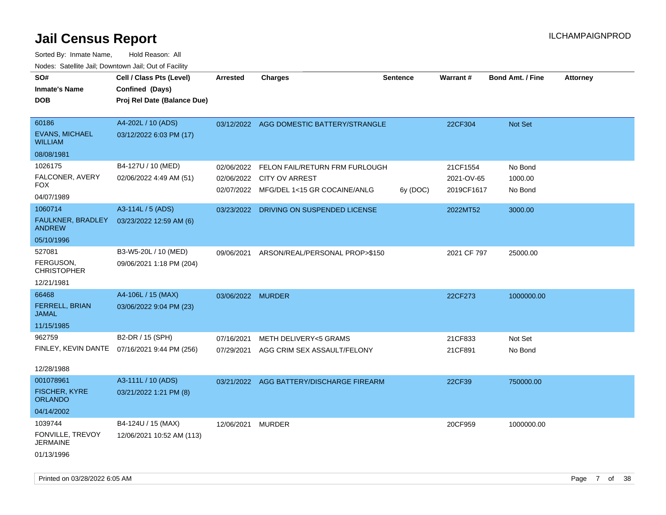| roaco. Calcinio dan, Downtown dan, Cal or Fability |                                              |                   |                                          |                 |                 |                         |                 |
|----------------------------------------------------|----------------------------------------------|-------------------|------------------------------------------|-----------------|-----------------|-------------------------|-----------------|
| SO#                                                | Cell / Class Pts (Level)                     | <b>Arrested</b>   | <b>Charges</b>                           | <b>Sentence</b> | <b>Warrant#</b> | <b>Bond Amt. / Fine</b> | <b>Attorney</b> |
| Inmate's Name                                      | Confined (Days)                              |                   |                                          |                 |                 |                         |                 |
| DOB                                                | Proj Rel Date (Balance Due)                  |                   |                                          |                 |                 |                         |                 |
|                                                    |                                              |                   |                                          |                 |                 |                         |                 |
| 60186                                              | A4-202L / 10 (ADS)                           |                   | 03/12/2022 AGG DOMESTIC BATTERY/STRANGLE |                 | 22CF304         | Not Set                 |                 |
| <b>EVANS, MICHAEL</b><br>WILLIAM                   | 03/12/2022 6:03 PM (17)                      |                   |                                          |                 |                 |                         |                 |
| 08/08/1981                                         |                                              |                   |                                          |                 |                 |                         |                 |
| 1026175                                            | B4-127U / 10 (MED)                           | 02/06/2022        | FELON FAIL/RETURN FRM FURLOUGH           |                 | 21CF1554        | No Bond                 |                 |
| FALCONER, AVERY<br>FOX                             | 02/06/2022 4:49 AM (51)                      | 02/06/2022        | <b>CITY OV ARREST</b>                    |                 | 2021-OV-65      | 1000.00                 |                 |
| 04/07/1989                                         |                                              |                   | 02/07/2022 MFG/DEL 1<15 GR COCAINE/ANLG  | 6y (DOC)        | 2019CF1617      | No Bond                 |                 |
| 1060714                                            | A3-114L / 5 (ADS)                            | 03/23/2022        | DRIVING ON SUSPENDED LICENSE             |                 | 2022MT52        | 3000.00                 |                 |
| FAULKNER, BRADLEY<br><b>ANDREW</b>                 | 03/23/2022 12:59 AM (6)                      |                   |                                          |                 |                 |                         |                 |
| 05/10/1996                                         |                                              |                   |                                          |                 |                 |                         |                 |
| 527081                                             | B3-W5-20L / 10 (MED)                         | 09/06/2021        | ARSON/REAL/PERSONAL PROP>\$150           |                 | 2021 CF 797     | 25000.00                |                 |
| FERGUSON,<br>CHRISTOPHER                           | 09/06/2021 1:18 PM (204)                     |                   |                                          |                 |                 |                         |                 |
| 12/21/1981                                         |                                              |                   |                                          |                 |                 |                         |                 |
| 66468                                              | A4-106L / 15 (MAX)                           | 03/06/2022 MURDER |                                          |                 | 22CF273         | 1000000.00              |                 |
| <b>FERRELL, BRIAN</b><br>JAMAL                     | 03/06/2022 9:04 PM (23)                      |                   |                                          |                 |                 |                         |                 |
| 11/15/1985                                         |                                              |                   |                                          |                 |                 |                         |                 |
| 962759                                             | B2-DR / 15 (SPH)                             | 07/16/2021        | METH DELIVERY<5 GRAMS                    |                 | 21CF833         | Not Set                 |                 |
|                                                    | FINLEY, KEVIN DANTE 07/16/2021 9:44 PM (256) | 07/29/2021        | AGG CRIM SEX ASSAULT/FELONY              |                 | 21CF891         | No Bond                 |                 |
| 12/28/1988                                         |                                              |                   |                                          |                 |                 |                         |                 |
| 001078961                                          | A3-111L / 10 (ADS)                           |                   | 03/21/2022 AGG BATTERY/DISCHARGE FIREARM |                 | 22CF39          | 750000.00               |                 |
| FISCHER, KYRE<br><b>ORLANDO</b>                    | 03/21/2022 1:21 PM (8)                       |                   |                                          |                 |                 |                         |                 |
| 04/14/2002                                         |                                              |                   |                                          |                 |                 |                         |                 |
| 1039744                                            | B4-124U / 15 (MAX)                           | 12/06/2021        | MURDER                                   |                 | 20CF959         | 1000000.00              |                 |
| FONVILLE, TREVOY<br>JERMAINE                       | 12/06/2021 10:52 AM (113)                    |                   |                                          |                 |                 |                         |                 |
| 01/13/1996                                         |                                              |                   |                                          |                 |                 |                         |                 |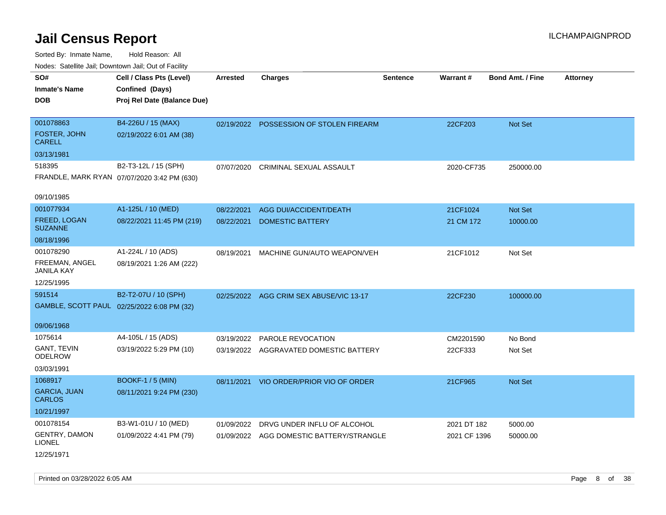Sorted By: Inmate Name, Hold Reason: All Nodes: Satellite Jail; Downtown Jail; Out of Facility

| roaco. Catolino cali, Domntonn cali, Out of Facility |                                             |                 |                                          |                 |              |                         |                 |
|------------------------------------------------------|---------------------------------------------|-----------------|------------------------------------------|-----------------|--------------|-------------------------|-----------------|
| SO#                                                  | Cell / Class Pts (Level)                    | <b>Arrested</b> | <b>Charges</b>                           | <b>Sentence</b> | Warrant#     | <b>Bond Amt. / Fine</b> | <b>Attorney</b> |
| <b>Inmate's Name</b>                                 | Confined (Days)                             |                 |                                          |                 |              |                         |                 |
| <b>DOB</b>                                           | Proj Rel Date (Balance Due)                 |                 |                                          |                 |              |                         |                 |
|                                                      |                                             |                 |                                          |                 |              |                         |                 |
| 001078863                                            | B4-226U / 15 (MAX)                          |                 | 02/19/2022 POSSESSION OF STOLEN FIREARM  |                 | 22CF203      | Not Set                 |                 |
| FOSTER, JOHN<br><b>CARELL</b>                        | 02/19/2022 6:01 AM (38)                     |                 |                                          |                 |              |                         |                 |
| 03/13/1981                                           |                                             |                 |                                          |                 |              |                         |                 |
| 518395                                               | B2-T3-12L / 15 (SPH)                        | 07/07/2020      | <b>CRIMINAL SEXUAL ASSAULT</b>           |                 | 2020-CF735   | 250000.00               |                 |
|                                                      | FRANDLE, MARK RYAN 07/07/2020 3:42 PM (630) |                 |                                          |                 |              |                         |                 |
| 09/10/1985                                           |                                             |                 |                                          |                 |              |                         |                 |
| 001077934                                            | A1-125L / 10 (MED)                          | 08/22/2021      | <b>AGG DUI/ACCIDENT/DEATH</b>            |                 | 21CF1024     | Not Set                 |                 |
| <b>FREED, LOGAN</b><br><b>SUZANNE</b>                | 08/22/2021 11:45 PM (219)                   | 08/22/2021      | <b>DOMESTIC BATTERY</b>                  |                 | 21 CM 172    | 10000.00                |                 |
| 08/18/1996                                           |                                             |                 |                                          |                 |              |                         |                 |
| 001078290                                            | A1-224L / 10 (ADS)                          | 08/19/2021      | MACHINE GUN/AUTO WEAPON/VEH              |                 | 21CF1012     | Not Set                 |                 |
| FREEMAN, ANGEL<br>JANILA KAY                         | 08/19/2021 1:26 AM (222)                    |                 |                                          |                 |              |                         |                 |
| 12/25/1995                                           |                                             |                 |                                          |                 |              |                         |                 |
| 591514                                               | B2-T2-07U / 10 (SPH)                        |                 | 02/25/2022 AGG CRIM SEX ABUSE/VIC 13-17  |                 | 22CF230      | 100000.00               |                 |
|                                                      | GAMBLE, SCOTT PAUL 02/25/2022 6:08 PM (32)  |                 |                                          |                 |              |                         |                 |
|                                                      |                                             |                 |                                          |                 |              |                         |                 |
| 09/06/1968                                           |                                             |                 |                                          |                 |              |                         |                 |
| 1075614                                              | A4-105L / 15 (ADS)                          |                 | 03/19/2022 PAROLE REVOCATION             |                 | CM2201590    | No Bond                 |                 |
| <b>GANT, TEVIN</b><br><b>ODELROW</b>                 | 03/19/2022 5:29 PM (10)                     |                 | 03/19/2022 AGGRAVATED DOMESTIC BATTERY   |                 | 22CF333      | Not Set                 |                 |
| 03/03/1991                                           |                                             |                 |                                          |                 |              |                         |                 |
| 1068917                                              | <b>BOOKF-1 / 5 (MIN)</b>                    | 08/11/2021      | VIO ORDER/PRIOR VIO OF ORDER             |                 | 21CF965      | Not Set                 |                 |
| <b>GARCIA, JUAN</b><br><b>CARLOS</b>                 | 08/11/2021 9:24 PM (230)                    |                 |                                          |                 |              |                         |                 |
| 10/21/1997                                           |                                             |                 |                                          |                 |              |                         |                 |
| 001078154                                            | B3-W1-01U / 10 (MED)                        | 01/09/2022      | DRVG UNDER INFLU OF ALCOHOL              |                 | 2021 DT 182  | 5000.00                 |                 |
| <b>GENTRY, DAMON</b><br><b>LIONEL</b>                | 01/09/2022 4:41 PM (79)                     |                 | 01/09/2022 AGG DOMESTIC BATTERY/STRANGLE |                 | 2021 CF 1396 | 50000.00                |                 |
| 12/25/1971                                           |                                             |                 |                                          |                 |              |                         |                 |

Printed on 03/28/2022 6:05 AM Page 8 of 38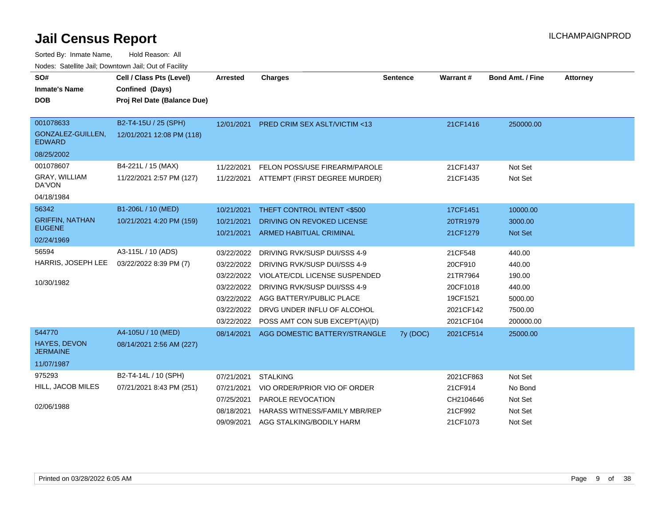| SO#                                | Cell / Class Pts (Level)    | <b>Arrested</b> | <b>Charges</b>                            | <b>Sentence</b> | Warrant#  | <b>Bond Amt. / Fine</b> | <b>Attorney</b> |
|------------------------------------|-----------------------------|-----------------|-------------------------------------------|-----------------|-----------|-------------------------|-----------------|
| <b>Inmate's Name</b>               | Confined (Days)             |                 |                                           |                 |           |                         |                 |
| <b>DOB</b>                         | Proj Rel Date (Balance Due) |                 |                                           |                 |           |                         |                 |
|                                    |                             |                 |                                           |                 |           |                         |                 |
| 001078633                          | B2-T4-15U / 25 (SPH)        | 12/01/2021      | <b>PRED CRIM SEX ASLT/VICTIM &lt;13</b>   |                 | 21CF1416  | 250000.00               |                 |
| GONZALEZ-GUILLEN,<br><b>EDWARD</b> | 12/01/2021 12:08 PM (118)   |                 |                                           |                 |           |                         |                 |
| 08/25/2002                         |                             |                 |                                           |                 |           |                         |                 |
| 001078607                          | B4-221L / 15 (MAX)          | 11/22/2021      | FELON POSS/USE FIREARM/PAROLE             |                 | 21CF1437  | Not Set                 |                 |
| GRAY, WILLIAM<br>DA'VON            | 11/22/2021 2:57 PM (127)    |                 | 11/22/2021 ATTEMPT (FIRST DEGREE MURDER)  |                 | 21CF1435  | Not Set                 |                 |
| 04/18/1984                         |                             |                 |                                           |                 |           |                         |                 |
| 56342                              | B1-206L / 10 (MED)          | 10/21/2021      | THEFT CONTROL INTENT <\$500               |                 | 17CF1451  | 10000.00                |                 |
| <b>GRIFFIN, NATHAN</b>             | 10/21/2021 4:20 PM (159)    | 10/21/2021      | DRIVING ON REVOKED LICENSE                |                 | 20TR1979  | 3000.00                 |                 |
| <b>EUGENE</b>                      |                             | 10/21/2021      | <b>ARMED HABITUAL CRIMINAL</b>            |                 | 21CF1279  | Not Set                 |                 |
| 02/24/1969                         |                             |                 |                                           |                 |           |                         |                 |
| 56594                              | A3-115L / 10 (ADS)          | 03/22/2022      | DRIVING RVK/SUSP DUI/SSS 4-9              |                 | 21CF548   | 440.00                  |                 |
| HARRIS, JOSEPH LEE                 | 03/22/2022 8:39 PM (7)      |                 | 03/22/2022 DRIVING RVK/SUSP DUI/SSS 4-9   |                 | 20CF910   | 440.00                  |                 |
|                                    |                             | 03/22/2022      | <b>VIOLATE/CDL LICENSE SUSPENDED</b>      |                 | 21TR7964  | 190.00                  |                 |
| 10/30/1982                         |                             | 03/22/2022      | DRIVING RVK/SUSP DUI/SSS 4-9              |                 | 20CF1018  | 440.00                  |                 |
|                                    |                             | 03/22/2022      | AGG BATTERY/PUBLIC PLACE                  |                 | 19CF1521  | 5000.00                 |                 |
|                                    |                             | 03/22/2022      | DRVG UNDER INFLU OF ALCOHOL               |                 | 2021CF142 | 7500.00                 |                 |
|                                    |                             |                 | 03/22/2022 POSS AMT CON SUB EXCEPT(A)/(D) |                 | 2021CF104 | 200000.00               |                 |
| 544770                             | A4-105U / 10 (MED)          | 08/14/2021      | AGG DOMESTIC BATTERY/STRANGLE             | 7y (DOC)        | 2021CF514 | 25000.00                |                 |
| HAYES, DEVON<br><b>JERMAINE</b>    | 08/14/2021 2:56 AM (227)    |                 |                                           |                 |           |                         |                 |
| 11/07/1987                         |                             |                 |                                           |                 |           |                         |                 |
| 975293                             | B2-T4-14L / 10 (SPH)        | 07/21/2021      | <b>STALKING</b>                           |                 | 2021CF863 | Not Set                 |                 |
| HILL, JACOB MILES                  | 07/21/2021 8:43 PM (251)    | 07/21/2021      | VIO ORDER/PRIOR VIO OF ORDER              |                 | 21CF914   | No Bond                 |                 |
|                                    |                             | 07/25/2021      | PAROLE REVOCATION                         |                 | CH2104646 | Not Set                 |                 |
| 02/06/1988                         |                             | 08/18/2021      | HARASS WITNESS/FAMILY MBR/REP             |                 | 21CF992   | Not Set                 |                 |
|                                    |                             | 09/09/2021      | AGG STALKING/BODILY HARM                  |                 | 21CF1073  | Not Set                 |                 |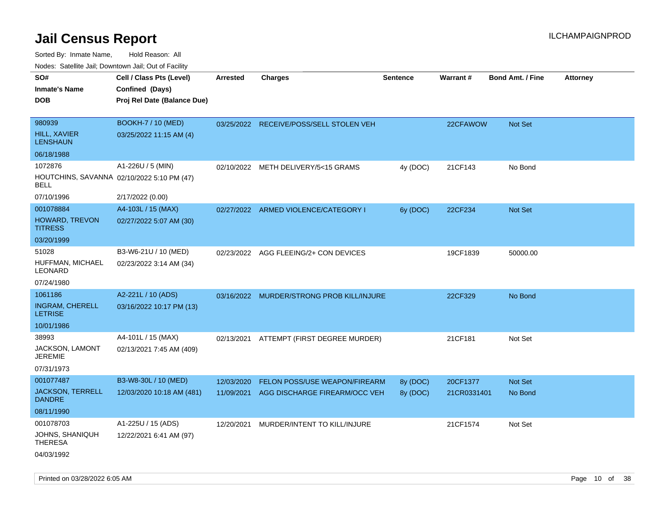Sorted By: Inmate Name, Hold Reason: All Nodes: Satellite Jail; Downtown Jail; Out of Facility

| roacs. Catellite Jall, Downtown Jall, Out of Facility     |                             |                 |                                           |          |             |                         |                 |
|-----------------------------------------------------------|-----------------------------|-----------------|-------------------------------------------|----------|-------------|-------------------------|-----------------|
| SO#                                                       | Cell / Class Pts (Level)    | <b>Arrested</b> | <b>Charges</b>                            | Sentence | Warrant#    | <b>Bond Amt. / Fine</b> | <b>Attorney</b> |
| <b>Inmate's Name</b>                                      | Confined (Days)             |                 |                                           |          |             |                         |                 |
| <b>DOB</b>                                                | Proj Rel Date (Balance Due) |                 |                                           |          |             |                         |                 |
|                                                           |                             |                 |                                           |          |             |                         |                 |
| 980939                                                    | <b>BOOKH-7 / 10 (MED)</b>   |                 | 03/25/2022 RECEIVE/POSS/SELL STOLEN VEH   |          | 22CFAWOW    | Not Set                 |                 |
| <b>HILL, XAVIER</b><br><b>LENSHAUN</b>                    | 03/25/2022 11:15 AM (4)     |                 |                                           |          |             |                         |                 |
| 06/18/1988                                                |                             |                 |                                           |          |             |                         |                 |
| 1072876                                                   | A1-226U / 5 (MIN)           | 02/10/2022      | METH DELIVERY/5<15 GRAMS                  | 4y (DOC) | 21CF143     | No Bond                 |                 |
| HOUTCHINS, SAVANNA 02/10/2022 5:10 PM (47)<br><b>BELL</b> |                             |                 |                                           |          |             |                         |                 |
| 07/10/1996                                                | 2/17/2022 (0.00)            |                 |                                           |          |             |                         |                 |
| 001078884                                                 | A4-103L / 15 (MAX)          |                 | 02/27/2022 ARMED VIOLENCE/CATEGORY I      | 6y (DOC) | 22CF234     | <b>Not Set</b>          |                 |
| <b>HOWARD, TREVON</b><br><b>TITRESS</b>                   | 02/27/2022 5:07 AM (30)     |                 |                                           |          |             |                         |                 |
| 03/20/1999                                                |                             |                 |                                           |          |             |                         |                 |
| 51028                                                     | B3-W6-21U / 10 (MED)        |                 | 02/23/2022 AGG FLEEING/2+ CON DEVICES     |          | 19CF1839    | 50000.00                |                 |
| HUFFMAN, MICHAEL<br>LEONARD                               | 02/23/2022 3:14 AM (34)     |                 |                                           |          |             |                         |                 |
| 07/24/1980                                                |                             |                 |                                           |          |             |                         |                 |
| 1061186                                                   | A2-221L / 10 (ADS)          |                 | 03/16/2022 MURDER/STRONG PROB KILL/INJURE |          | 22CF329     | No Bond                 |                 |
| <b>INGRAM, CHERELL</b><br><b>LETRISE</b>                  | 03/16/2022 10:17 PM (13)    |                 |                                           |          |             |                         |                 |
| 10/01/1986                                                |                             |                 |                                           |          |             |                         |                 |
| 38993                                                     | A4-101L / 15 (MAX)          |                 | 02/13/2021 ATTEMPT (FIRST DEGREE MURDER)  |          | 21CF181     | Not Set                 |                 |
| <b>JACKSON, LAMONT</b><br><b>JEREMIE</b>                  | 02/13/2021 7:45 AM (409)    |                 |                                           |          |             |                         |                 |
| 07/31/1973                                                |                             |                 |                                           |          |             |                         |                 |
| 001077487                                                 | B3-W8-30L / 10 (MED)        | 12/03/2020      | FELON POSS/USE WEAPON/FIREARM             | 8y (DOC) | 20CF1377    | <b>Not Set</b>          |                 |
| <b>JACKSON, TERRELL</b><br><b>DANDRE</b>                  | 12/03/2020 10:18 AM (481)   | 11/09/2021      | AGG DISCHARGE FIREARM/OCC VEH             | 8y (DOC) | 21CR0331401 | No Bond                 |                 |
| 08/11/1990                                                |                             |                 |                                           |          |             |                         |                 |
| 001078703                                                 | A1-225U / 15 (ADS)          | 12/20/2021      | MURDER/INTENT TO KILL/INJURE              |          | 21CF1574    | Not Set                 |                 |
| JOHNS, SHANIQUH<br><b>THERESA</b>                         | 12/22/2021 6:41 AM (97)     |                 |                                           |          |             |                         |                 |
| 04/03/1992                                                |                             |                 |                                           |          |             |                         |                 |

Printed on 03/28/2022 6:05 AM **Page 10** of 38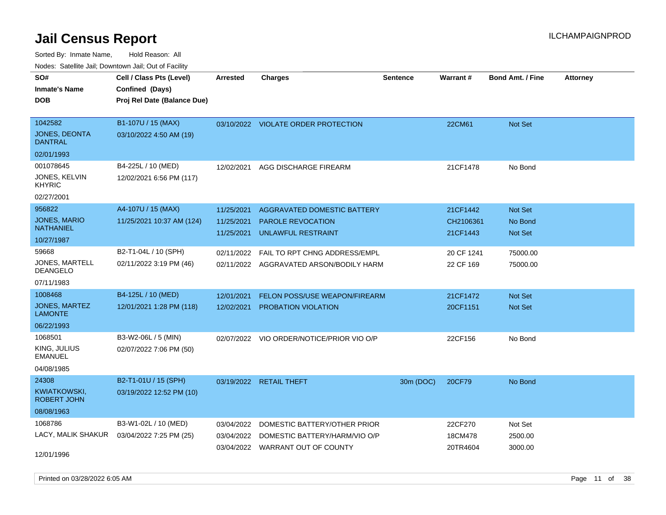Sorted By: Inmate Name, Hold Reason: All Nodes: Satellite Jail; Downtown Jail; Out of Facility

| rouco. Calcinic Jan, Downtown Jan, Out of Facility |                                                 |                                        |                                                                               |                 |                                   |                                             |                 |
|----------------------------------------------------|-------------------------------------------------|----------------------------------------|-------------------------------------------------------------------------------|-----------------|-----------------------------------|---------------------------------------------|-----------------|
| SO#<br><b>Inmate's Name</b>                        | Cell / Class Pts (Level)<br>Confined (Days)     | Arrested                               | <b>Charges</b>                                                                | <b>Sentence</b> | Warrant#                          | <b>Bond Amt. / Fine</b>                     | <b>Attorney</b> |
| DOB                                                | Proj Rel Date (Balance Due)                     |                                        |                                                                               |                 |                                   |                                             |                 |
| 1042582<br>JONES, DEONTA<br>DANTRAL                | B1-107U / 15 (MAX)<br>03/10/2022 4:50 AM (19)   |                                        | 03/10/2022 VIOLATE ORDER PROTECTION                                           |                 | 22CM61                            | <b>Not Set</b>                              |                 |
| 02/01/1993                                         |                                                 |                                        |                                                                               |                 |                                   |                                             |                 |
| 001078645<br>JONES, KELVIN<br>KHYRIC               | B4-225L / 10 (MED)<br>12/02/2021 6:56 PM (117)  | 12/02/2021                             | AGG DISCHARGE FIREARM                                                         |                 | 21CF1478                          | No Bond                                     |                 |
| 02/27/2001                                         | A4-107U / 15 (MAX)                              |                                        |                                                                               |                 |                                   |                                             |                 |
| 956822<br><b>JONES, MARIO</b><br>NATHANIEL         | 11/25/2021 10:37 AM (124)                       | 11/25/2021<br>11/25/2021<br>11/25/2021 | AGGRAVATED DOMESTIC BATTERY<br><b>PAROLE REVOCATION</b><br>UNLAWFUL RESTRAINT |                 | 21CF1442<br>CH2106361<br>21CF1443 | <b>Not Set</b><br>No Bond<br><b>Not Set</b> |                 |
| 10/27/1987                                         |                                                 |                                        |                                                                               |                 |                                   |                                             |                 |
| 59668<br><b>JONES, MARTELL</b><br>DEANGELO         | B2-T1-04L / 10 (SPH)<br>02/11/2022 3:19 PM (46) | 02/11/2022<br>02/11/2022               | FAIL TO RPT CHNG ADDRESS/EMPL<br>AGGRAVATED ARSON/BODILY HARM                 |                 | 20 CF 1241<br>22 CF 169           | 75000.00<br>75000.00                        |                 |
| 07/11/1983                                         |                                                 |                                        |                                                                               |                 |                                   |                                             |                 |
| 1008468                                            | B4-125L / 10 (MED)                              | 12/01/2021                             | FELON POSS/USE WEAPON/FIREARM                                                 |                 | 21CF1472                          | <b>Not Set</b>                              |                 |
| JONES, MARTEZ<br>LAMONTE                           | 12/01/2021 1:28 PM (118)                        | 12/02/2021                             | PROBATION VIOLATION                                                           |                 | 20CF1151                          | Not Set                                     |                 |
| 06/22/1993                                         |                                                 |                                        |                                                                               |                 |                                   |                                             |                 |
| 1068501                                            | B3-W2-06L / 5 (MIN)                             |                                        | 02/07/2022 VIO ORDER/NOTICE/PRIOR VIO O/P                                     |                 | 22CF156                           | No Bond                                     |                 |
| KING, JULIUS<br>EMANUEL                            | 02/07/2022 7:06 PM (50)                         |                                        |                                                                               |                 |                                   |                                             |                 |
| 04/08/1985                                         |                                                 |                                        |                                                                               |                 |                                   |                                             |                 |
| 24308                                              | B2-T1-01U / 15 (SPH)                            |                                        | 03/19/2022 RETAIL THEFT                                                       | 30m (DOC)       | 20CF79                            | No Bond                                     |                 |
| KWIATKOWSKI,<br>ROBERT JOHN                        | 03/19/2022 12:52 PM (10)                        |                                        |                                                                               |                 |                                   |                                             |                 |
| 08/08/1963                                         |                                                 |                                        |                                                                               |                 |                                   |                                             |                 |
| 1068786                                            | B3-W1-02L / 10 (MED)                            | 03/04/2022                             | DOMESTIC BATTERY/OTHER PRIOR                                                  |                 | 22CF270                           | Not Set                                     |                 |
|                                                    | LACY, MALIK SHAKUR 03/04/2022 7:25 PM (25)      | 03/04/2022<br>03/04/2022               | DOMESTIC BATTERY/HARM/VIO O/P<br>WARRANT OUT OF COUNTY                        |                 | 18CM478<br>20TR4604               | 2500.00<br>3000.00                          |                 |
| 12/01/1996                                         |                                                 |                                        |                                                                               |                 |                                   |                                             |                 |

Printed on 03/28/2022 6:05 AM **Page 11** of 38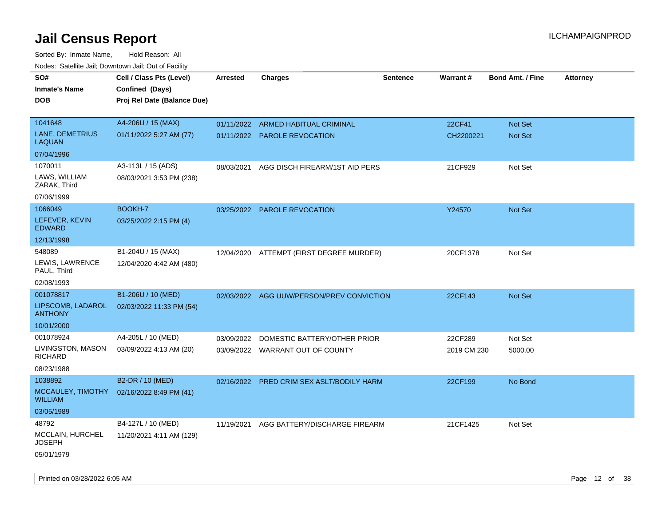Sorted By: Inmate Name, Hold Reason: All Nodes: Satellite Jail; Downtown Jail; Out of Facility

| Todoo. Catolino can, Bowritown can, Oat or I domt<br>SO#<br><b>Inmate's Name</b><br><b>DOB</b> | Cell / Class Pts (Level)<br>Confined (Days)<br>Proj Rel Date (Balance Due) | <b>Arrested</b> | <b>Charges</b>                            | <b>Sentence</b> | Warrant#    | <b>Bond Amt. / Fine</b> | <b>Attorney</b> |
|------------------------------------------------------------------------------------------------|----------------------------------------------------------------------------|-----------------|-------------------------------------------|-----------------|-------------|-------------------------|-----------------|
| 1041648                                                                                        | A4-206U / 15 (MAX)                                                         | 01/11/2022      | ARMED HABITUAL CRIMINAL                   |                 | 22CF41      | Not Set                 |                 |
| LANE, DEMETRIUS<br>LAQUAN                                                                      | 01/11/2022 5:27 AM (77)                                                    |                 | 01/11/2022 PAROLE REVOCATION              |                 | CH2200221   | <b>Not Set</b>          |                 |
| 07/04/1996                                                                                     |                                                                            |                 |                                           |                 |             |                         |                 |
| 1070011                                                                                        | A3-113L / 15 (ADS)                                                         | 08/03/2021      | AGG DISCH FIREARM/1ST AID PERS            |                 | 21CF929     | Not Set                 |                 |
| LAWS, WILLIAM<br>ZARAK, Third                                                                  | 08/03/2021 3:53 PM (238)                                                   |                 |                                           |                 |             |                         |                 |
| 07/06/1999                                                                                     |                                                                            |                 |                                           |                 |             |                         |                 |
| 1066049                                                                                        | BOOKH-7                                                                    |                 | 03/25/2022 PAROLE REVOCATION              |                 | Y24570      | Not Set                 |                 |
| LEFEVER, KEVIN<br><b>EDWARD</b>                                                                | 03/25/2022 2:15 PM (4)                                                     |                 |                                           |                 |             |                         |                 |
| 12/13/1998                                                                                     |                                                                            |                 |                                           |                 |             |                         |                 |
| 548089                                                                                         | B1-204U / 15 (MAX)                                                         |                 | 12/04/2020 ATTEMPT (FIRST DEGREE MURDER)  |                 | 20CF1378    | Not Set                 |                 |
| LEWIS, LAWRENCE<br>PAUL, Third                                                                 | 12/04/2020 4:42 AM (480)                                                   |                 |                                           |                 |             |                         |                 |
| 02/08/1993                                                                                     |                                                                            |                 |                                           |                 |             |                         |                 |
| 001078817                                                                                      | B1-206U / 10 (MED)                                                         |                 | 02/03/2022 AGG UUW/PERSON/PREV CONVICTION |                 | 22CF143     | <b>Not Set</b>          |                 |
| LIPSCOMB, LADAROL<br><b>ANTHONY</b>                                                            | 02/03/2022 11:33 PM (54)                                                   |                 |                                           |                 |             |                         |                 |
| 10/01/2000                                                                                     |                                                                            |                 |                                           |                 |             |                         |                 |
| 001078924                                                                                      | A4-205L / 10 (MED)                                                         | 03/09/2022      | DOMESTIC BATTERY/OTHER PRIOR              |                 | 22CF289     | Not Set                 |                 |
| LIVINGSTON, MASON<br><b>RICHARD</b>                                                            | 03/09/2022 4:13 AM (20)                                                    |                 | 03/09/2022 WARRANT OUT OF COUNTY          |                 | 2019 CM 230 | 5000.00                 |                 |
| 08/23/1988                                                                                     |                                                                            |                 |                                           |                 |             |                         |                 |
| 1038892                                                                                        | B2-DR / 10 (MED)                                                           | 02/16/2022      | PRED CRIM SEX ASLT/BODILY HARM            |                 | 22CF199     | No Bond                 |                 |
| MCCAULEY, TIMOTHY<br><b>WILLIAM</b>                                                            | 02/16/2022 8:49 PM (41)                                                    |                 |                                           |                 |             |                         |                 |
| 03/05/1989                                                                                     |                                                                            |                 |                                           |                 |             |                         |                 |
| 48792                                                                                          | B4-127L / 10 (MED)                                                         | 11/19/2021      | AGG BATTERY/DISCHARGE FIREARM             |                 | 21CF1425    | Not Set                 |                 |
| MCCLAIN, HURCHEL<br><b>JOSEPH</b>                                                              | 11/20/2021 4:11 AM (129)                                                   |                 |                                           |                 |             |                         |                 |
| 05/01/1979                                                                                     |                                                                            |                 |                                           |                 |             |                         |                 |

Printed on 03/28/2022 6:05 AM Page 12 of 38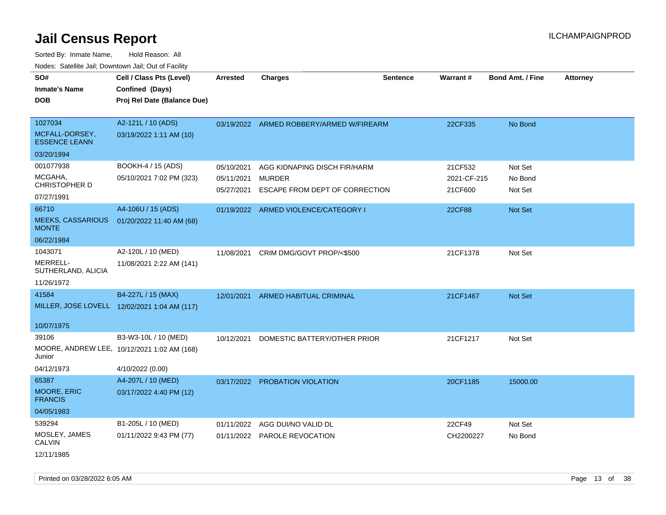Sorted By: Inmate Name, Hold Reason: All Nodes: Satellite Jail; Downtown Jail; Out of Facility

| SO#                                      | Cell / Class Pts (Level)                     | Arrested   | <b>Charges</b>                                  | <b>Sentence</b> | Warrant#               | <b>Bond Amt. / Fine</b> | <b>Attorney</b> |
|------------------------------------------|----------------------------------------------|------------|-------------------------------------------------|-----------------|------------------------|-------------------------|-----------------|
| <b>Inmate's Name</b>                     | Confined (Days)                              |            |                                                 |                 |                        |                         |                 |
| <b>DOB</b>                               | Proj Rel Date (Balance Due)                  |            |                                                 |                 |                        |                         |                 |
|                                          |                                              |            |                                                 |                 |                        |                         |                 |
| 1027034                                  | A2-121L / 10 (ADS)                           |            | 03/19/2022 ARMED ROBBERY/ARMED W/FIREARM        |                 | 22CF335                | No Bond                 |                 |
| MCFALL-DORSEY,<br><b>ESSENCE LEANN</b>   | 03/19/2022 1:11 AM (10)                      |            |                                                 |                 |                        |                         |                 |
| 03/20/1994                               |                                              |            |                                                 |                 |                        |                         |                 |
| 001077938                                | BOOKH-4 / 15 (ADS)                           | 05/10/2021 | AGG KIDNAPING DISCH FIR/HARM                    |                 | 21CF532                | Not Set                 |                 |
| MCGAHA,<br>CHRISTOPHER D                 | 05/10/2021 7:02 PM (323)                     | 05/11/2021 | <b>MURDER</b><br>ESCAPE FROM DEPT OF CORRECTION |                 | 2021-CF-215<br>21CF600 | No Bond<br>Not Set      |                 |
| 07/27/1991                               |                                              | 05/27/2021 |                                                 |                 |                        |                         |                 |
| 66710                                    | A4-106U / 15 (ADS)                           |            | 01/19/2022 ARMED VIOLENCE/CATEGORY I            |                 | <b>22CF88</b>          | Not Set                 |                 |
| <b>MEEKS, CASSARIOUS</b><br><b>MONTE</b> | 01/20/2022 11:40 AM (68)                     |            |                                                 |                 |                        |                         |                 |
| 06/22/1984                               |                                              |            |                                                 |                 |                        |                         |                 |
| 1043071                                  | A2-120L / 10 (MED)                           | 11/08/2021 | CRIM DMG/GOVT PROP/<\$500                       |                 | 21CF1378               | Not Set                 |                 |
| <b>MERRELL-</b><br>SUTHERLAND, ALICIA    | 11/08/2021 2:22 AM (141)                     |            |                                                 |                 |                        |                         |                 |
| 11/26/1972                               |                                              |            |                                                 |                 |                        |                         |                 |
| 41584                                    | B4-227L / 15 (MAX)                           | 12/01/2021 | ARMED HABITUAL CRIMINAL                         |                 | 21CF1467               | Not Set                 |                 |
|                                          | MILLER, JOSE LOVELL 12/02/2021 1:04 AM (117) |            |                                                 |                 |                        |                         |                 |
|                                          |                                              |            |                                                 |                 |                        |                         |                 |
| 10/07/1975                               |                                              |            |                                                 |                 |                        |                         |                 |
| 39106                                    | B3-W3-10L / 10 (MED)                         | 10/12/2021 | DOMESTIC BATTERY/OTHER PRIOR                    |                 | 21CF1217               | Not Set                 |                 |
| Junior                                   | MOORE, ANDREW LEE, 10/12/2021 1:02 AM (168)  |            |                                                 |                 |                        |                         |                 |
| 04/12/1973                               | 4/10/2022 (0.00)                             |            |                                                 |                 |                        |                         |                 |
| 65387                                    | A4-207L / 10 (MED)                           | 03/17/2022 | PROBATION VIOLATION                             |                 | 20CF1185               | 15000.00                |                 |
| MOORE, ERIC<br><b>FRANCIS</b>            | 03/17/2022 4:40 PM (12)                      |            |                                                 |                 |                        |                         |                 |
| 04/05/1983                               |                                              |            |                                                 |                 |                        |                         |                 |
| 539294                                   | B1-205L / 10 (MED)                           | 01/11/2022 | AGG DUI/NO VALID DL                             |                 | 22CF49                 | Not Set                 |                 |
| MOSLEY, JAMES<br><b>CALVIN</b>           | 01/11/2022 9:43 PM (77)                      |            | 01/11/2022 PAROLE REVOCATION                    |                 | CH2200227              | No Bond                 |                 |
| 12/11/1985                               |                                              |            |                                                 |                 |                        |                         |                 |

Printed on 03/28/2022 6:05 AM **Page 13** of 38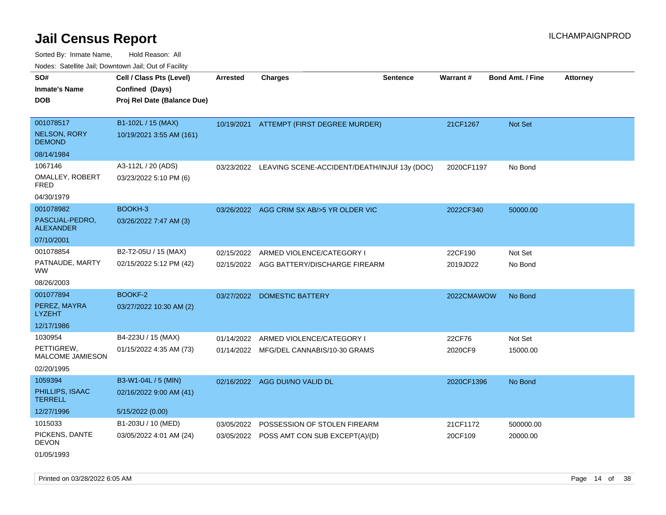Sorted By: Inmate Name, Hold Reason: All

| Nodes: Satellite Jail; Downtown Jail; Out of Facility |                             |            |                                                         |                 |                 |                  |          |
|-------------------------------------------------------|-----------------------------|------------|---------------------------------------------------------|-----------------|-----------------|------------------|----------|
| SO#                                                   | Cell / Class Pts (Level)    | Arrested   | <b>Charges</b>                                          | <b>Sentence</b> | <b>Warrant#</b> | Bond Amt. / Fine | Attorney |
| <b>Inmate's Name</b>                                  | Confined (Days)             |            |                                                         |                 |                 |                  |          |
| <b>DOB</b>                                            | Proj Rel Date (Balance Due) |            |                                                         |                 |                 |                  |          |
|                                                       |                             |            |                                                         |                 |                 |                  |          |
| 001078517                                             | B1-102L / 15 (MAX)          |            | 10/19/2021 ATTEMPT (FIRST DEGREE MURDER)                |                 | 21CF1267        | Not Set          |          |
| <b>NELSON, RORY</b><br><b>DEMOND</b>                  | 10/19/2021 3:55 AM (161)    |            |                                                         |                 |                 |                  |          |
| 08/14/1984                                            |                             |            |                                                         |                 |                 |                  |          |
| 1067146                                               | A3-112L / 20 (ADS)          |            | 03/23/2022 LEAVING SCENE-ACCIDENT/DEATH/INJUF 13y (DOC) |                 | 2020CF1197      | No Bond          |          |
| OMALLEY, ROBERT<br><b>FRED</b>                        | 03/23/2022 5:10 PM (6)      |            |                                                         |                 |                 |                  |          |
| 04/30/1979                                            |                             |            |                                                         |                 |                 |                  |          |
| 001078982                                             | BOOKH-3                     |            | 03/26/2022 AGG CRIM SX AB/>5 YR OLDER VIC               |                 | 2022CF340       | 50000.00         |          |
| PASCUAL-PEDRO,<br><b>ALEXANDER</b>                    | 03/26/2022 7:47 AM (3)      |            |                                                         |                 |                 |                  |          |
| 07/10/2001                                            |                             |            |                                                         |                 |                 |                  |          |
| 001078854                                             | B2-T2-05U / 15 (MAX)        | 02/15/2022 | ARMED VIOLENCE/CATEGORY I                               |                 | 22CF190         | Not Set          |          |
| PATNAUDE, MARTY<br><b>WW</b>                          | 02/15/2022 5:12 PM (42)     |            | 02/15/2022 AGG BATTERY/DISCHARGE FIREARM                |                 | 2019JD22        | No Bond          |          |
| 08/26/2003                                            |                             |            |                                                         |                 |                 |                  |          |
| 001077894                                             | BOOKF-2                     | 03/27/2022 | <b>DOMESTIC BATTERY</b>                                 |                 | 2022CMAWOW      | No Bond          |          |
| PEREZ, MAYRA<br><b>LYZEHT</b>                         | 03/27/2022 10:30 AM (2)     |            |                                                         |                 |                 |                  |          |
| 12/17/1986                                            |                             |            |                                                         |                 |                 |                  |          |
| 1030954                                               | B4-223U / 15 (MAX)          | 01/14/2022 | ARMED VIOLENCE/CATEGORY I                               |                 | 22CF76          | Not Set          |          |
| PETTIGREW,<br>MALCOME JAMIESON                        | 01/15/2022 4:35 AM (73)     |            | 01/14/2022 MFG/DEL CANNABIS/10-30 GRAMS                 |                 | 2020CF9         | 15000.00         |          |
| 02/20/1995                                            |                             |            |                                                         |                 |                 |                  |          |
| 1059394                                               | B3-W1-04L / 5 (MIN)         |            | 02/16/2022 AGG DUI/NO VALID DL                          |                 | 2020CF1396      | No Bond          |          |
| PHILLIPS, ISAAC<br><b>TERRELL</b>                     | 02/16/2022 9:00 AM (41)     |            |                                                         |                 |                 |                  |          |
| 12/27/1996                                            | 5/15/2022 (0.00)            |            |                                                         |                 |                 |                  |          |
| 1015033                                               | B1-203U / 10 (MED)          | 03/05/2022 | POSSESSION OF STOLEN FIREARM                            |                 | 21CF1172        | 500000.00        |          |
| PICKENS, DANTE<br><b>DEVON</b>                        | 03/05/2022 4:01 AM (24)     |            | 03/05/2022 POSS AMT CON SUB EXCEPT(A)/(D)               |                 | 20CF109         | 20000.00         |          |
| 01/05/1993                                            |                             |            |                                                         |                 |                 |                  |          |

Printed on 03/28/2022 6:05 AM **Page 14** of 38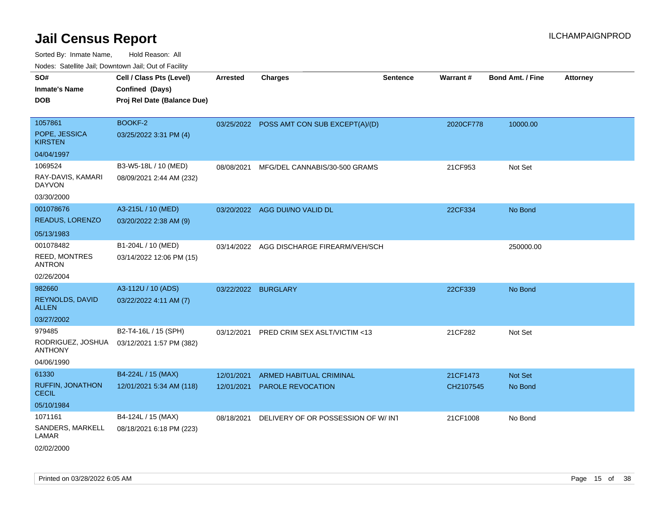| <b>Nouro:</b> Catolino dall, Downtown dall, Out of Fability |                             |                 |                                           |                 |           |                         |                 |
|-------------------------------------------------------------|-----------------------------|-----------------|-------------------------------------------|-----------------|-----------|-------------------------|-----------------|
| SO#                                                         | Cell / Class Pts (Level)    | <b>Arrested</b> | <b>Charges</b>                            | <b>Sentence</b> | Warrant#  | <b>Bond Amt. / Fine</b> | <b>Attorney</b> |
| <b>Inmate's Name</b>                                        | Confined (Days)             |                 |                                           |                 |           |                         |                 |
| <b>DOB</b>                                                  | Proj Rel Date (Balance Due) |                 |                                           |                 |           |                         |                 |
|                                                             |                             |                 |                                           |                 |           |                         |                 |
| 1057861                                                     | BOOKF-2                     |                 | 03/25/2022 POSS AMT CON SUB EXCEPT(A)/(D) |                 | 2020CF778 | 10000.00                |                 |
| POPE, JESSICA<br><b>KIRSTEN</b>                             | 03/25/2022 3:31 PM (4)      |                 |                                           |                 |           |                         |                 |
| 04/04/1997                                                  |                             |                 |                                           |                 |           |                         |                 |
| 1069524                                                     | B3-W5-18L / 10 (MED)        | 08/08/2021      | MFG/DEL CANNABIS/30-500 GRAMS             |                 | 21CF953   | Not Set                 |                 |
| RAY-DAVIS, KAMARI<br><b>DAYVON</b>                          | 08/09/2021 2:44 AM (232)    |                 |                                           |                 |           |                         |                 |
| 03/30/2000                                                  |                             |                 |                                           |                 |           |                         |                 |
| 001078676                                                   | A3-215L / 10 (MED)          |                 | 03/20/2022 AGG DUI/NO VALID DL            |                 | 22CF334   | No Bond                 |                 |
| READUS, LORENZO                                             | 03/20/2022 2:38 AM (9)      |                 |                                           |                 |           |                         |                 |
| 05/13/1983                                                  |                             |                 |                                           |                 |           |                         |                 |
| 001078482                                                   | B1-204L / 10 (MED)          | 03/14/2022      | AGG DISCHARGE FIREARM/VEH/SCH             |                 |           | 250000.00               |                 |
| REED, MONTRES<br><b>ANTRON</b>                              | 03/14/2022 12:06 PM (15)    |                 |                                           |                 |           |                         |                 |
| 02/26/2004                                                  |                             |                 |                                           |                 |           |                         |                 |
| 982660                                                      | A3-112U / 10 (ADS)          | 03/22/2022      | <b>BURGLARY</b>                           |                 | 22CF339   | No Bond                 |                 |
| REYNOLDS, DAVID<br><b>ALLEN</b>                             | 03/22/2022 4:11 AM (7)      |                 |                                           |                 |           |                         |                 |
| 03/27/2002                                                  |                             |                 |                                           |                 |           |                         |                 |
| 979485                                                      | B2-T4-16L / 15 (SPH)        | 03/12/2021      | PRED CRIM SEX ASLT/VICTIM <13             |                 | 21CF282   | Not Set                 |                 |
| RODRIGUEZ, JOSHUA<br><b>ANTHONY</b>                         | 03/12/2021 1:57 PM (382)    |                 |                                           |                 |           |                         |                 |
| 04/06/1990                                                  |                             |                 |                                           |                 |           |                         |                 |
| 61330                                                       | B4-224L / 15 (MAX)          | 12/01/2021      | ARMED HABITUAL CRIMINAL                   |                 | 21CF1473  | <b>Not Set</b>          |                 |
| <b>RUFFIN, JONATHON</b><br><b>CECIL</b>                     | 12/01/2021 5:34 AM (118)    | 12/01/2021      | <b>PAROLE REVOCATION</b>                  |                 | CH2107545 | No Bond                 |                 |
| 05/10/1984                                                  |                             |                 |                                           |                 |           |                         |                 |
| 1071161                                                     | B4-124L / 15 (MAX)          | 08/18/2021      | DELIVERY OF OR POSSESSION OF W/INT        |                 | 21CF1008  | No Bond                 |                 |
| SANDERS, MARKELL<br>LAMAR                                   | 08/18/2021 6:18 PM (223)    |                 |                                           |                 |           |                         |                 |
| 02/02/2000                                                  |                             |                 |                                           |                 |           |                         |                 |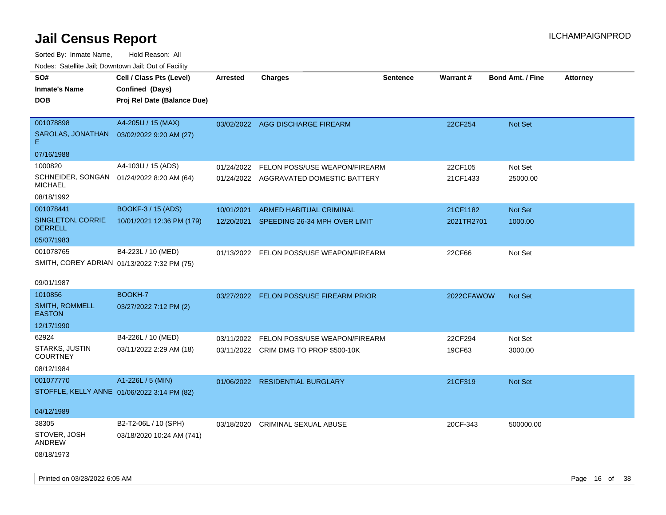| rouco. Calcillo Jali, Downtown Jali, Out of Facility        |                             |                 |                                          |          |            |                         |                 |
|-------------------------------------------------------------|-----------------------------|-----------------|------------------------------------------|----------|------------|-------------------------|-----------------|
| SO#                                                         | Cell / Class Pts (Level)    | <b>Arrested</b> | <b>Charges</b>                           | Sentence | Warrant#   | <b>Bond Amt. / Fine</b> | <b>Attorney</b> |
| <b>Inmate's Name</b>                                        | Confined (Days)             |                 |                                          |          |            |                         |                 |
| DOB                                                         | Proj Rel Date (Balance Due) |                 |                                          |          |            |                         |                 |
|                                                             |                             |                 |                                          |          |            |                         |                 |
| 001078898                                                   | A4-205U / 15 (MAX)          |                 | 03/02/2022 AGG DISCHARGE FIREARM         |          | 22CF254    | Not Set                 |                 |
| SAROLAS, JONATHAN<br>E.                                     | 03/02/2022 9:20 AM (27)     |                 |                                          |          |            |                         |                 |
| 07/16/1988                                                  |                             |                 |                                          |          |            |                         |                 |
| 1000820                                                     | A4-103U / 15 (ADS)          | 01/24/2022      | FELON POSS/USE WEAPON/FIREARM            |          | 22CF105    | Not Set                 |                 |
| SCHNEIDER, SONGAN 01/24/2022 8:20 AM (64)<br><b>MICHAEL</b> |                             |                 | 01/24/2022 AGGRAVATED DOMESTIC BATTERY   |          | 21CF1433   | 25000.00                |                 |
| 08/18/1992                                                  |                             |                 |                                          |          |            |                         |                 |
| 001078441                                                   | <b>BOOKF-3 / 15 (ADS)</b>   | 10/01/2021      | <b>ARMED HABITUAL CRIMINAL</b>           |          | 21CF1182   | <b>Not Set</b>          |                 |
| SINGLETON, CORRIE<br><b>DERRELL</b>                         | 10/01/2021 12:36 PM (179)   | 12/20/2021      | SPEEDING 26-34 MPH OVER LIMIT            |          | 2021TR2701 | 1000.00                 |                 |
| 05/07/1983                                                  |                             |                 |                                          |          |            |                         |                 |
| 001078765                                                   | B4-223L / 10 (MED)          |                 | 01/13/2022 FELON POSS/USE WEAPON/FIREARM |          | 22CF66     | Not Set                 |                 |
| SMITH, COREY ADRIAN 01/13/2022 7:32 PM (75)                 |                             |                 |                                          |          |            |                         |                 |
|                                                             |                             |                 |                                          |          |            |                         |                 |
| 09/01/1987                                                  |                             |                 |                                          |          |            |                         |                 |
| 1010856                                                     | BOOKH-7                     |                 | 03/27/2022 FELON POSS/USE FIREARM PRIOR  |          | 2022CFAWOW | <b>Not Set</b>          |                 |
| <b>SMITH, ROMMELL</b><br><b>EASTON</b>                      | 03/27/2022 7:12 PM (2)      |                 |                                          |          |            |                         |                 |
| 12/17/1990                                                  |                             |                 |                                          |          |            |                         |                 |
| 62924                                                       | B4-226L / 10 (MED)          | 03/11/2022      | FELON POSS/USE WEAPON/FIREARM            |          | 22CF294    | Not Set                 |                 |
| <b>STARKS, JUSTIN</b><br><b>COURTNEY</b>                    | 03/11/2022 2:29 AM (18)     |                 | 03/11/2022 CRIM DMG TO PROP \$500-10K    |          | 19CF63     | 3000.00                 |                 |
| 08/12/1984                                                  |                             |                 |                                          |          |            |                         |                 |
| 001077770                                                   | A1-226L / 5 (MIN)           |                 | 01/06/2022 RESIDENTIAL BURGLARY          |          | 21CF319    | <b>Not Set</b>          |                 |
| STOFFLE, KELLY ANNE 01/06/2022 3:14 PM (82)                 |                             |                 |                                          |          |            |                         |                 |
|                                                             |                             |                 |                                          |          |            |                         |                 |
| 04/12/1989                                                  |                             |                 |                                          |          |            |                         |                 |
| 38305                                                       | B2-T2-06L / 10 (SPH)        | 03/18/2020      | <b>CRIMINAL SEXUAL ABUSE</b>             |          | 20CF-343   | 500000.00               |                 |
| STOVER, JOSH<br>ANDREW                                      | 03/18/2020 10:24 AM (741)   |                 |                                          |          |            |                         |                 |
| 08/18/1973                                                  |                             |                 |                                          |          |            |                         |                 |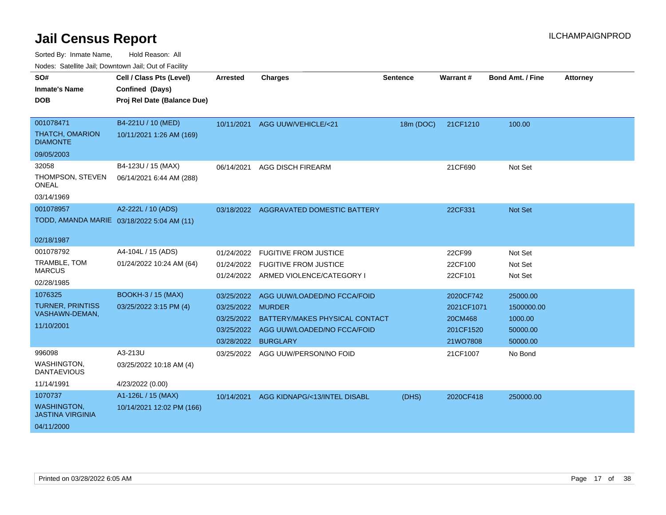Sorted By: Inmate Name, Hold Reason: All

Nodes: Satellite Jail; Downtown Jail; Out of Facility

| SO#                                           | Cell / Class Pts (Level)                   | <b>Arrested</b>   | <b>Charges</b>                         | <b>Sentence</b> | <b>Warrant#</b> | <b>Bond Amt. / Fine</b> | <b>Attorney</b> |
|-----------------------------------------------|--------------------------------------------|-------------------|----------------------------------------|-----------------|-----------------|-------------------------|-----------------|
| <b>Inmate's Name</b>                          | Confined (Days)                            |                   |                                        |                 |                 |                         |                 |
| DOB                                           | Proj Rel Date (Balance Due)                |                   |                                        |                 |                 |                         |                 |
|                                               |                                            |                   |                                        |                 |                 |                         |                 |
| 001078471                                     | B4-221U / 10 (MED)                         |                   | 10/11/2021 AGG UUW/VEHICLE/<21         | 18m (DOC)       | 21CF1210        | 100.00                  |                 |
| <b>THATCH, OMARION</b><br><b>DIAMONTE</b>     | 10/11/2021 1:26 AM (169)                   |                   |                                        |                 |                 |                         |                 |
| 09/05/2003                                    |                                            |                   |                                        |                 |                 |                         |                 |
| 32058                                         | B4-123U / 15 (MAX)                         | 06/14/2021        | <b>AGG DISCH FIREARM</b>               |                 | 21CF690         | Not Set                 |                 |
| THOMPSON, STEVEN<br><b>ONEAL</b>              | 06/14/2021 6:44 AM (288)                   |                   |                                        |                 |                 |                         |                 |
| 03/14/1969                                    |                                            |                   |                                        |                 |                 |                         |                 |
| 001078957                                     | A2-222L / 10 (ADS)                         |                   | 03/18/2022 AGGRAVATED DOMESTIC BATTERY |                 | 22CF331         | <b>Not Set</b>          |                 |
|                                               | TODD, AMANDA MARIE 03/18/2022 5:04 AM (11) |                   |                                        |                 |                 |                         |                 |
|                                               |                                            |                   |                                        |                 |                 |                         |                 |
| 02/18/1987                                    |                                            |                   |                                        |                 |                 |                         |                 |
| 001078792                                     | A4-104L / 15 (ADS)                         | 01/24/2022        | <b>FUGITIVE FROM JUSTICE</b>           |                 | 22CF99          | Not Set                 |                 |
| TRAMBLE, TOM<br><b>MARCUS</b>                 | 01/24/2022 10:24 AM (64)                   | 01/24/2022        | <b>FUGITIVE FROM JUSTICE</b>           |                 | 22CF100         | Not Set                 |                 |
| 02/28/1985                                    |                                            |                   | 01/24/2022 ARMED VIOLENCE/CATEGORY I   |                 | 22CF101         | Not Set                 |                 |
|                                               |                                            |                   |                                        |                 |                 |                         |                 |
| 1076325                                       | <b>BOOKH-3 / 15 (MAX)</b>                  | 03/25/2022        | AGG UUW/LOADED/NO FCCA/FOID            |                 | 2020CF742       | 25000.00                |                 |
| <b>TURNER, PRINTISS</b><br>VASHAWN-DEMAN,     | 03/25/2022 3:15 PM (4)                     | 03/25/2022 MURDER |                                        |                 | 2021CF1071      | 1500000.00              |                 |
| 11/10/2001                                    |                                            | 03/25/2022        | BATTERY/MAKES PHYSICAL CONTACT         |                 | 20CM468         | 1000.00                 |                 |
|                                               |                                            |                   | 03/25/2022 AGG UUW/LOADED/NO FCCA/FOID |                 | 201CF1520       | 50000.00                |                 |
|                                               |                                            | 03/28/2022        | <b>BURGLARY</b>                        |                 | 21WO7808        | 50000.00                |                 |
| 996098                                        | A3-213U                                    |                   | 03/25/2022 AGG UUW/PERSON/NO FOID      |                 | 21CF1007        | No Bond                 |                 |
| WASHINGTON.<br><b>DANTAEVIOUS</b>             | 03/25/2022 10:18 AM (4)                    |                   |                                        |                 |                 |                         |                 |
| 11/14/1991                                    | 4/23/2022 (0.00)                           |                   |                                        |                 |                 |                         |                 |
| 1070737                                       | A1-126L / 15 (MAX)                         | 10/14/2021        | AGG KIDNAPG/<13/INTEL DISABL           | (DHS)           | 2020CF418       | 250000.00               |                 |
| <b>WASHINGTON,</b><br><b>JASTINA VIRGINIA</b> | 10/14/2021 12:02 PM (166)                  |                   |                                        |                 |                 |                         |                 |
| 04/11/2000                                    |                                            |                   |                                        |                 |                 |                         |                 |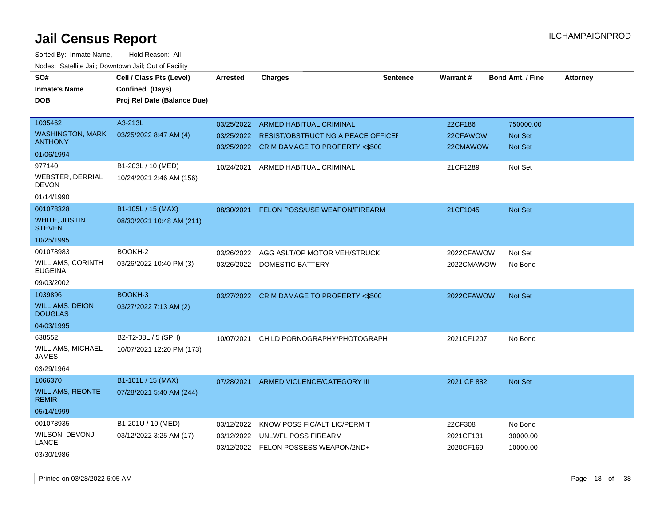| SO#                                      | Cell / Class Pts (Level)    | <b>Arrested</b> | <b>Charges</b>                            | <b>Sentence</b> | Warrant#    | <b>Bond Amt. / Fine</b> | <b>Attorney</b> |
|------------------------------------------|-----------------------------|-----------------|-------------------------------------------|-----------------|-------------|-------------------------|-----------------|
| <b>Inmate's Name</b>                     | Confined (Days)             |                 |                                           |                 |             |                         |                 |
| <b>DOB</b>                               | Proj Rel Date (Balance Due) |                 |                                           |                 |             |                         |                 |
|                                          |                             |                 |                                           |                 |             |                         |                 |
| 1035462                                  | A3-213L                     | 03/25/2022      | <b>ARMED HABITUAL CRIMINAL</b>            |                 | 22CF186     | 750000.00               |                 |
| <b>WASHINGTON, MARK</b>                  | 03/25/2022 8:47 AM (4)      | 03/25/2022      | RESIST/OBSTRUCTING A PEACE OFFICEF        |                 | 22CFAWOW    | Not Set                 |                 |
| <b>ANTHONY</b>                           |                             |                 | 03/25/2022 CRIM DAMAGE TO PROPERTY <\$500 |                 | 22CMAWOW    | <b>Not Set</b>          |                 |
| 01/06/1994                               |                             |                 |                                           |                 |             |                         |                 |
| 977140                                   | B1-203L / 10 (MED)          | 10/24/2021      | ARMED HABITUAL CRIMINAL                   |                 | 21CF1289    | Not Set                 |                 |
| WEBSTER, DERRIAL<br><b>DEVON</b>         | 10/24/2021 2:46 AM (156)    |                 |                                           |                 |             |                         |                 |
| 01/14/1990                               |                             |                 |                                           |                 |             |                         |                 |
| 001078328                                | B1-105L / 15 (MAX)          | 08/30/2021      | <b>FELON POSS/USE WEAPON/FIREARM</b>      |                 | 21CF1045    | Not Set                 |                 |
| <b>WHITE, JUSTIN</b><br><b>STEVEN</b>    | 08/30/2021 10:48 AM (211)   |                 |                                           |                 |             |                         |                 |
| 10/25/1995                               |                             |                 |                                           |                 |             |                         |                 |
| 001078983                                | BOOKH-2                     | 03/26/2022      | AGG ASLT/OP MOTOR VEH/STRUCK              |                 | 2022CFAWOW  | Not Set                 |                 |
| WILLIAMS, CORINTH<br><b>EUGEINA</b>      | 03/26/2022 10:40 PM (3)     |                 | 03/26/2022 DOMESTIC BATTERY               |                 | 2022CMAWOW  | No Bond                 |                 |
| 09/03/2002                               |                             |                 |                                           |                 |             |                         |                 |
| 1039896                                  | BOOKH-3                     |                 | 03/27/2022 CRIM DAMAGE TO PROPERTY <\$500 |                 | 2022CFAWOW  | <b>Not Set</b>          |                 |
| <b>WILLIAMS, DEION</b><br><b>DOUGLAS</b> | 03/27/2022 7:13 AM (2)      |                 |                                           |                 |             |                         |                 |
| 04/03/1995                               |                             |                 |                                           |                 |             |                         |                 |
| 638552                                   | B2-T2-08L / 5 (SPH)         | 10/07/2021      | CHILD PORNOGRAPHY/PHOTOGRAPH              |                 | 2021CF1207  | No Bond                 |                 |
| WILLIAMS, MICHAEL<br>JAMES               | 10/07/2021 12:20 PM (173)   |                 |                                           |                 |             |                         |                 |
| 03/29/1964                               |                             |                 |                                           |                 |             |                         |                 |
| 1066370                                  | B1-101L / 15 (MAX)          | 07/28/2021      | ARMED VIOLENCE/CATEGORY III               |                 | 2021 CF 882 | <b>Not Set</b>          |                 |
| <b>WILLIAMS, REONTE</b><br><b>REMIR</b>  | 07/28/2021 5:40 AM (244)    |                 |                                           |                 |             |                         |                 |
| 05/14/1999                               |                             |                 |                                           |                 |             |                         |                 |
| 001078935                                | B1-201U / 10 (MED)          | 03/12/2022      | KNOW POSS FIC/ALT LIC/PERMIT              |                 | 22CF308     | No Bond                 |                 |
| WILSON, DEVONJ                           | 03/12/2022 3:25 AM (17)     | 03/12/2022      | UNLWFL POSS FIREARM                       |                 | 2021CF131   | 30000.00                |                 |
| LANCE                                    |                             |                 | 03/12/2022 FELON POSSESS WEAPON/2ND+      |                 | 2020CF169   | 10000.00                |                 |
| 03/30/1986                               |                             |                 |                                           |                 |             |                         |                 |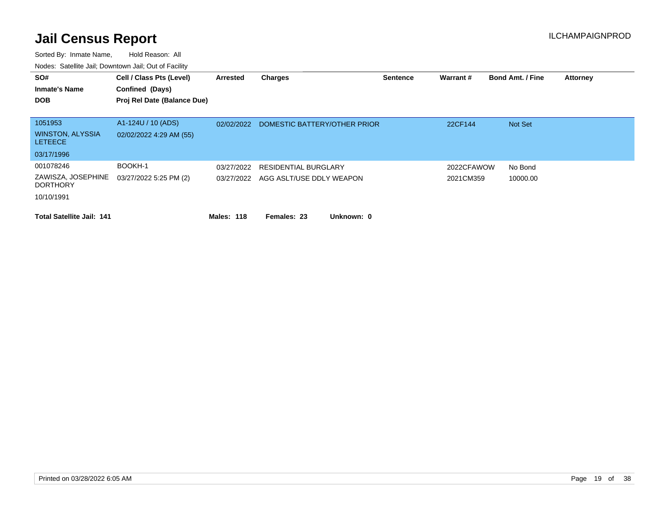| SO#<br><b>Inmate's Name</b><br><b>DOB</b>            | Cell / Class Pts (Level)<br>Confined (Days)<br>Proj Rel Date (Balance Due) | Arrested   | <b>Charges</b>               | <b>Sentence</b> | Warrant#   | <b>Bond Amt. / Fine</b> | <b>Attorney</b> |
|------------------------------------------------------|----------------------------------------------------------------------------|------------|------------------------------|-----------------|------------|-------------------------|-----------------|
| 1051953<br><b>WINSTON, ALYSSIA</b><br><b>LETEECE</b> | A1-124U / 10 (ADS)<br>02/02/2022 4:29 AM (55)                              | 02/02/2022 | DOMESTIC BATTERY/OTHER PRIOR |                 | 22CF144    | Not Set                 |                 |
| 03/17/1996                                           |                                                                            |            |                              |                 |            |                         |                 |
| 001078246                                            | BOOKH-1                                                                    | 03/27/2022 | <b>RESIDENTIAL BURGLARY</b>  |                 | 2022CFAWOW | No Bond                 |                 |
| ZAWISZA, JOSEPHINE<br><b>DORTHORY</b>                | 03/27/2022 5:25 PM (2)                                                     | 03/27/2022 | AGG ASLT/USE DDLY WEAPON     |                 | 2021CM359  | 10000.00                |                 |
| 10/10/1991                                           |                                                                            |            |                              |                 |            |                         |                 |
| <b>Total Satellite Jail: 141</b>                     |                                                                            | Males: 118 | Unknown: 0<br>Females: 23    |                 |            |                         |                 |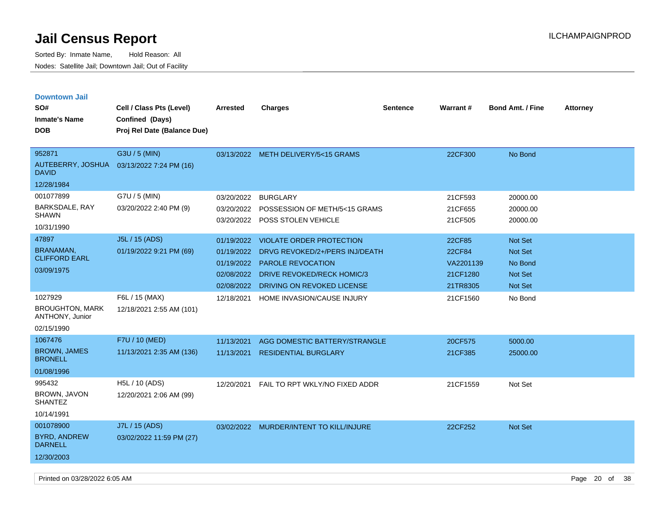| <b>Downtown Jail</b>                      |                             |                 |                                         |                 |                 |                         |                 |
|-------------------------------------------|-----------------------------|-----------------|-----------------------------------------|-----------------|-----------------|-------------------------|-----------------|
| SO#                                       | Cell / Class Pts (Level)    | <b>Arrested</b> | <b>Charges</b>                          | <b>Sentence</b> | <b>Warrant#</b> | <b>Bond Amt. / Fine</b> | <b>Attorney</b> |
| <b>Inmate's Name</b>                      | Confined (Days)             |                 |                                         |                 |                 |                         |                 |
| <b>DOB</b>                                | Proj Rel Date (Balance Due) |                 |                                         |                 |                 |                         |                 |
|                                           |                             |                 |                                         |                 |                 |                         |                 |
| 952871                                    | G3U / 5 (MIN)               |                 | 03/13/2022 METH DELIVERY/5<15 GRAMS     |                 | 22CF300         | No Bond                 |                 |
| AUTEBERRY, JOSHUA<br><b>DAVID</b>         | 03/13/2022 7:24 PM (16)     |                 |                                         |                 |                 |                         |                 |
| 12/28/1984                                |                             |                 |                                         |                 |                 |                         |                 |
| 001077899                                 | G7U / 5 (MIN)               | 03/20/2022      | <b>BURGLARY</b>                         |                 | 21CF593         | 20000.00                |                 |
| BARKSDALE, RAY                            | 03/20/2022 2:40 PM (9)      | 03/20/2022      | POSSESSION OF METH/5<15 GRAMS           |                 | 21CF655         | 20000.00                |                 |
| <b>SHAWN</b>                              |                             |                 | 03/20/2022 POSS STOLEN VEHICLE          |                 | 21CF505         | 20000.00                |                 |
| 10/31/1990                                |                             |                 |                                         |                 |                 |                         |                 |
| 47897                                     | J5L / 15 (ADS)              | 01/19/2022      | <b>VIOLATE ORDER PROTECTION</b>         |                 | 22CF85          | <b>Not Set</b>          |                 |
| <b>BRANAMAN,</b><br><b>CLIFFORD EARL</b>  | 01/19/2022 9:21 PM (69)     | 01/19/2022      | DRVG REVOKED/2+/PERS INJ/DEATH          |                 | 22CF84          | Not Set                 |                 |
|                                           |                             | 01/19/2022      | PAROLE REVOCATION                       |                 | VA2201139       | No Bond                 |                 |
| 03/09/1975                                |                             | 02/08/2022      | <b>DRIVE REVOKED/RECK HOMIC/3</b>       |                 | 21CF1280        | Not Set                 |                 |
|                                           |                             | 02/08/2022      | DRIVING ON REVOKED LICENSE              |                 | 21TR8305        | <b>Not Set</b>          |                 |
| 1027929                                   | F6L / 15 (MAX)              | 12/18/2021      | HOME INVASION/CAUSE INJURY              |                 | 21CF1560        | No Bond                 |                 |
| <b>BROUGHTON, MARK</b><br>ANTHONY, Junior | 12/18/2021 2:55 AM (101)    |                 |                                         |                 |                 |                         |                 |
| 02/15/1990                                |                             |                 |                                         |                 |                 |                         |                 |
| 1067476                                   | F7U / 10 (MED)              | 11/13/2021      | AGG DOMESTIC BATTERY/STRANGLE           |                 | 20CF575         | 5000.00                 |                 |
| <b>BROWN, JAMES</b><br><b>BRONELL</b>     | 11/13/2021 2:35 AM (136)    | 11/13/2021      | <b>RESIDENTIAL BURGLARY</b>             |                 | 21CF385         | 25000.00                |                 |
| 01/08/1996                                |                             |                 |                                         |                 |                 |                         |                 |
| 995432                                    | H5L / 10 (ADS)              | 12/20/2021      | FAIL TO RPT WKLY/NO FIXED ADDR          |                 | 21CF1559        | Not Set                 |                 |
| BROWN, JAVON<br><b>SHANTEZ</b>            | 12/20/2021 2:06 AM (99)     |                 |                                         |                 |                 |                         |                 |
| 10/14/1991                                |                             |                 |                                         |                 |                 |                         |                 |
| 001078900                                 | J7L / 15 (ADS)              |                 | 03/02/2022 MURDER/INTENT TO KILL/INJURE |                 | 22CF252         | Not Set                 |                 |
| <b>BYRD, ANDREW</b><br><b>DARNELL</b>     | 03/02/2022 11:59 PM (27)    |                 |                                         |                 |                 |                         |                 |
| 12/30/2003                                |                             |                 |                                         |                 |                 |                         |                 |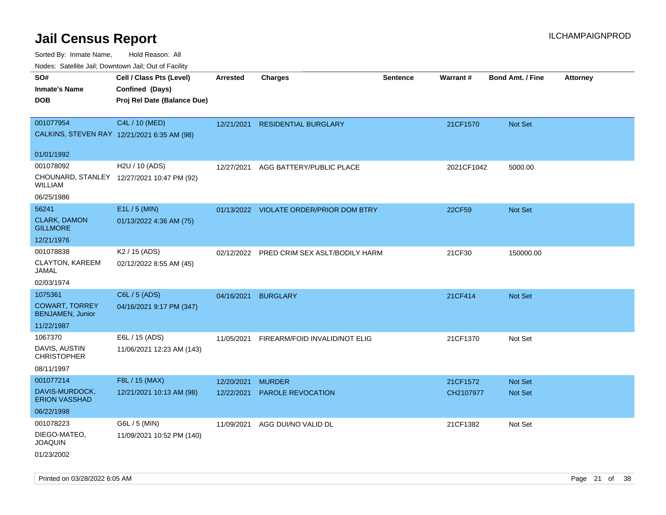Sorted By: Inmate Name, Hold Reason: All

| Nodes: Satellite Jail; Downtown Jail; Out of Facility |                                             |            |                                           |          |            |                         |                 |  |  |
|-------------------------------------------------------|---------------------------------------------|------------|-------------------------------------------|----------|------------|-------------------------|-----------------|--|--|
| SO#                                                   | Cell / Class Pts (Level)                    | Arrested   | <b>Charges</b>                            | Sentence | Warrant#   | <b>Bond Amt. / Fine</b> | <b>Attorney</b> |  |  |
| <b>Inmate's Name</b>                                  | Confined (Days)                             |            |                                           |          |            |                         |                 |  |  |
| <b>DOB</b>                                            | Proj Rel Date (Balance Due)                 |            |                                           |          |            |                         |                 |  |  |
|                                                       |                                             |            |                                           |          |            |                         |                 |  |  |
| 001077954                                             | C4L / 10 (MED)                              |            | 12/21/2021 RESIDENTIAL BURGLARY           |          | 21CF1570   | Not Set                 |                 |  |  |
|                                                       | CALKINS, STEVEN RAY 12/21/2021 6:35 AM (98) |            |                                           |          |            |                         |                 |  |  |
| 01/01/1992                                            |                                             |            |                                           |          |            |                         |                 |  |  |
| 001078092                                             | H2U / 10 (ADS)                              | 12/27/2021 | AGG BATTERY/PUBLIC PLACE                  |          | 2021CF1042 | 5000.00                 |                 |  |  |
| <b>WILLIAM</b>                                        | CHOUNARD, STANLEY 12/27/2021 10:47 PM (92)  |            |                                           |          |            |                         |                 |  |  |
| 06/25/1986                                            |                                             |            |                                           |          |            |                         |                 |  |  |
| 56241                                                 | E1L / 5 (MIN)                               |            | 01/13/2022 VIOLATE ORDER/PRIOR DOM BTRY   |          | 22CF59     | <b>Not Set</b>          |                 |  |  |
| <b>CLARK, DAMON</b>                                   | 01/13/2022 4:36 AM (75)                     |            |                                           |          |            |                         |                 |  |  |
| <b>GILLMORE</b>                                       |                                             |            |                                           |          |            |                         |                 |  |  |
| 12/21/1976                                            |                                             |            |                                           |          |            |                         |                 |  |  |
| 001078838                                             | K <sub>2</sub> / 15 (ADS)                   |            | 02/12/2022 PRED CRIM SEX ASLT/BODILY HARM |          | 21CF30     | 150000.00               |                 |  |  |
| CLAYTON, KAREEM<br><b>JAMAL</b>                       | 02/12/2022 8:55 AM (45)                     |            |                                           |          |            |                         |                 |  |  |
| 02/03/1974                                            |                                             |            |                                           |          |            |                         |                 |  |  |
| 1075361                                               | C6L / 5 (ADS)                               |            | 04/16/2021 BURGLARY                       |          | 21CF414    | Not Set                 |                 |  |  |
| <b>COWART, TORREY</b><br><b>BENJAMEN, Junior</b>      | 04/16/2021 9:17 PM (347)                    |            |                                           |          |            |                         |                 |  |  |
| 11/22/1987                                            |                                             |            |                                           |          |            |                         |                 |  |  |
| 1067370                                               | E6L / 15 (ADS)                              | 11/05/2021 | FIREARM/FOID INVALID/NOT ELIG             |          | 21CF1370   | Not Set                 |                 |  |  |
| DAVIS, AUSTIN                                         | 11/06/2021 12:23 AM (143)                   |            |                                           |          |            |                         |                 |  |  |
| <b>CHRISTOPHER</b>                                    |                                             |            |                                           |          |            |                         |                 |  |  |
| 08/11/1997                                            |                                             |            |                                           |          |            |                         |                 |  |  |
| 001077214                                             | F8L / 15 (MAX)                              | 12/20/2021 | <b>MURDER</b>                             |          | 21CF1572   | <b>Not Set</b>          |                 |  |  |
| DAVIS-MURDOCK,<br><b>ERION VASSHAD</b>                | 12/21/2021 10:13 AM (98)                    | 12/22/2021 | PAROLE REVOCATION                         |          | CH2107977  | Not Set                 |                 |  |  |
| 06/22/1998                                            |                                             |            |                                           |          |            |                         |                 |  |  |
| 001078223                                             | G6L / 5 (MIN)                               | 11/09/2021 | AGG DUI/NO VALID DL                       |          | 21CF1382   | Not Set                 |                 |  |  |
| DIEGO-MATEO,<br><b>JOAQUIN</b>                        | 11/09/2021 10:52 PM (140)                   |            |                                           |          |            |                         |                 |  |  |
| 01/23/2002                                            |                                             |            |                                           |          |            |                         |                 |  |  |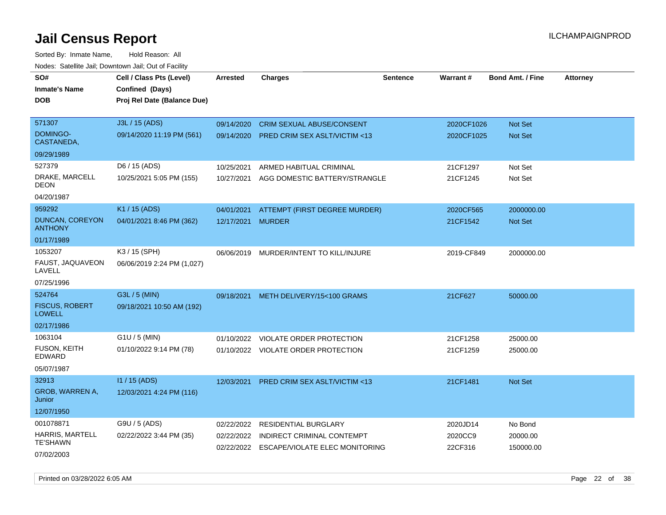|                                        | vouco. Catolino cali, Downtown cali, Out of Facility |                 |                                           |                 |            |                         |                 |
|----------------------------------------|------------------------------------------------------|-----------------|-------------------------------------------|-----------------|------------|-------------------------|-----------------|
| SO#                                    | Cell / Class Pts (Level)                             | <b>Arrested</b> | <b>Charges</b>                            | <b>Sentence</b> | Warrant#   | <b>Bond Amt. / Fine</b> | <b>Attorney</b> |
| Inmate's Name                          | Confined (Days)                                      |                 |                                           |                 |            |                         |                 |
| DOB                                    | Proj Rel Date (Balance Due)                          |                 |                                           |                 |            |                         |                 |
|                                        |                                                      |                 |                                           |                 |            |                         |                 |
| 571307                                 | J3L / 15 (ADS)                                       | 09/14/2020      | <b>CRIM SEXUAL ABUSE/CONSENT</b>          |                 | 2020CF1026 | Not Set                 |                 |
| DOMINGO-<br>CASTANEDA,                 | 09/14/2020 11:19 PM (561)                            | 09/14/2020      | <b>PRED CRIM SEX ASLT/VICTIM &lt;13</b>   |                 | 2020CF1025 | <b>Not Set</b>          |                 |
| 09/29/1989                             |                                                      |                 |                                           |                 |            |                         |                 |
| 527379                                 | D6 / 15 (ADS)                                        | 10/25/2021      | ARMED HABITUAL CRIMINAL                   |                 | 21CF1297   | Not Set                 |                 |
| DRAKE, MARCELL<br>DEON                 | 10/25/2021 5:05 PM (155)                             | 10/27/2021      | AGG DOMESTIC BATTERY/STRANGLE             |                 | 21CF1245   | Not Set                 |                 |
| 04/20/1987                             |                                                      |                 |                                           |                 |            |                         |                 |
| 959292                                 | K1 / 15 (ADS)                                        | 04/01/2021      | ATTEMPT (FIRST DEGREE MURDER)             |                 | 2020CF565  | 2000000.00              |                 |
| DUNCAN, COREYON<br><b>ANTHONY</b>      | 04/01/2021 8:46 PM (362)                             | 12/17/2021      | <b>MURDER</b>                             |                 | 21CF1542   | Not Set                 |                 |
| 01/17/1989                             |                                                      |                 |                                           |                 |            |                         |                 |
| 1053207                                | K3 / 15 (SPH)                                        | 06/06/2019      | MURDER/INTENT TO KILL/INJURE              |                 | 2019-CF849 | 2000000.00              |                 |
| FAUST, JAQUAVEON<br>LAVELL             | 06/06/2019 2:24 PM (1,027)                           |                 |                                           |                 |            |                         |                 |
| 07/25/1996                             |                                                      |                 |                                           |                 |            |                         |                 |
| 524764                                 | G3L / 5 (MIN)                                        | 09/18/2021      | METH DELIVERY/15<100 GRAMS                |                 | 21CF627    | 50000.00                |                 |
| <b>FISCUS, ROBERT</b><br><b>LOWELL</b> | 09/18/2021 10:50 AM (192)                            |                 |                                           |                 |            |                         |                 |
| 02/17/1986                             |                                                      |                 |                                           |                 |            |                         |                 |
| 1063104                                | G1U / 5 (MIN)                                        | 01/10/2022      | VIOLATE ORDER PROTECTION                  |                 | 21CF1258   | 25000.00                |                 |
| <b>FUSON, KEITH</b><br><b>EDWARD</b>   | 01/10/2022 9:14 PM (78)                              |                 | 01/10/2022 VIOLATE ORDER PROTECTION       |                 | 21CF1259   | 25000.00                |                 |
| 05/07/1987                             |                                                      |                 |                                           |                 |            |                         |                 |
| 32913                                  | $11/15$ (ADS)                                        | 12/03/2021      | <b>PRED CRIM SEX ASLT/VICTIM &lt;13</b>   |                 | 21CF1481   | <b>Not Set</b>          |                 |
| GROB, WARREN A,<br>Junior              | 12/03/2021 4:24 PM (116)                             |                 |                                           |                 |            |                         |                 |
| 12/07/1950                             |                                                      |                 |                                           |                 |            |                         |                 |
| 001078871                              | G9U / 5 (ADS)                                        | 02/22/2022      | <b>RESIDENTIAL BURGLARY</b>               |                 | 2020JD14   | No Bond                 |                 |
| HARRIS, MARTELL                        | 02/22/2022 3:44 PM (35)                              | 02/22/2022      | <b>INDIRECT CRIMINAL CONTEMPT</b>         |                 | 2020CC9    | 20000.00                |                 |
| <b>TE'SHAWN</b>                        |                                                      |                 | 02/22/2022 ESCAPE/VIOLATE ELEC MONITORING |                 | 22CF316    | 150000.00               |                 |
| 07/02/2003                             |                                                      |                 |                                           |                 |            |                         |                 |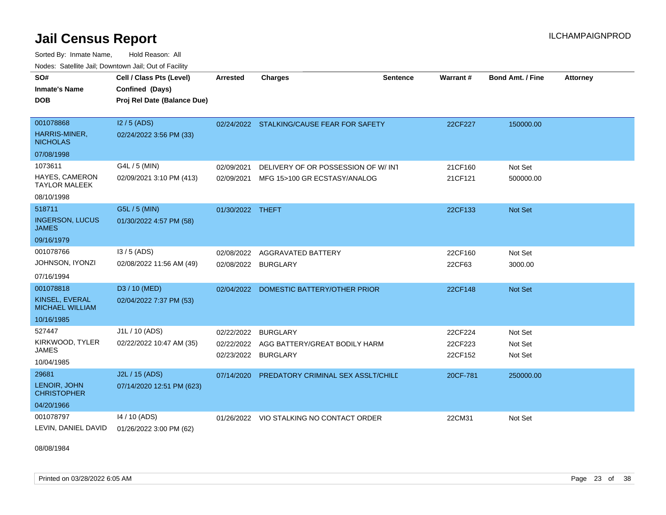Sorted By: Inmate Name, Hold Reason: All Nodes: Satellite Jail; Downtown Jail; Out of Facility

| SO#<br><b>Inmate's Name</b><br><b>DOB</b>                              | Cell / Class Pts (Level)<br>Confined (Days)<br>Proj Rel Date (Balance Due) | Arrested                               | <b>Charges</b>                                                      | <b>Sentence</b> | Warrant #                     | <b>Bond Amt. / Fine</b>       | <b>Attorney</b> |
|------------------------------------------------------------------------|----------------------------------------------------------------------------|----------------------------------------|---------------------------------------------------------------------|-----------------|-------------------------------|-------------------------------|-----------------|
| 001078868<br>HARRIS-MINER,<br><b>NICHOLAS</b><br>07/08/1998            | $12/5$ (ADS)<br>02/24/2022 3:56 PM (33)                                    |                                        | 02/24/2022 STALKING/CAUSE FEAR FOR SAFETY                           |                 | 22CF227                       | 150000.00                     |                 |
| 1073611<br><b>HAYES, CAMERON</b><br><b>TAYLOR MALEEK</b><br>08/10/1998 | G4L / 5 (MIN)<br>02/09/2021 3:10 PM (413)                                  | 02/09/2021<br>02/09/2021               | DELIVERY OF OR POSSESSION OF W/INT<br>MFG 15>100 GR ECSTASY/ANALOG  |                 | 21CF160<br>21CF121            | Not Set<br>500000.00          |                 |
| 518711<br><b>INGERSON, LUCUS</b><br><b>JAMES</b><br>09/16/1979         | G5L / 5 (MIN)<br>01/30/2022 4:57 PM (58)                                   | 01/30/2022 THEFT                       |                                                                     |                 | 22CF133                       | Not Set                       |                 |
| 001078766<br>JOHNSON, IYONZI<br>07/16/1994                             | $13/5$ (ADS)<br>02/08/2022 11:56 AM (49)                                   | 02/08/2022<br>02/08/2022               | <b>AGGRAVATED BATTERY</b><br><b>BURGLARY</b>                        |                 | 22CF160<br>22CF63             | Not Set<br>3000.00            |                 |
| 001078818<br>KINSEL. EVERAL<br><b>MICHAEL WILLIAM</b><br>10/16/1985    | D3 / 10 (MED)<br>02/04/2022 7:37 PM (53)                                   | 02/04/2022                             | DOMESTIC BATTERY/OTHER PRIOR                                        |                 | 22CF148                       | Not Set                       |                 |
| 527447<br>KIRKWOOD, TYLER<br><b>JAMES</b><br>10/04/1985                | J1L / 10 (ADS)<br>02/22/2022 10:47 AM (35)                                 | 02/22/2022<br>02/22/2022<br>02/23/2022 | <b>BURGLARY</b><br>AGG BATTERY/GREAT BODILY HARM<br><b>BURGLARY</b> |                 | 22CF224<br>22CF223<br>22CF152 | Not Set<br>Not Set<br>Not Set |                 |
| 29681<br>LENOIR, JOHN<br><b>CHRISTOPHER</b><br>04/20/1966              | J2L / 15 (ADS)<br>07/14/2020 12:51 PM (623)                                | 07/14/2020                             | PREDATORY CRIMINAL SEX ASSLT/CHILE                                  |                 | 20CF-781                      | 250000.00                     |                 |
| 001078797<br>LEVIN, DANIEL DAVID                                       | 14 / 10 (ADS)<br>01/26/2022 3:00 PM (62)                                   | 01/26/2022                             | VIO STALKING NO CONTACT ORDER                                       |                 | 22CM31                        | Not Set                       |                 |

08/08/1984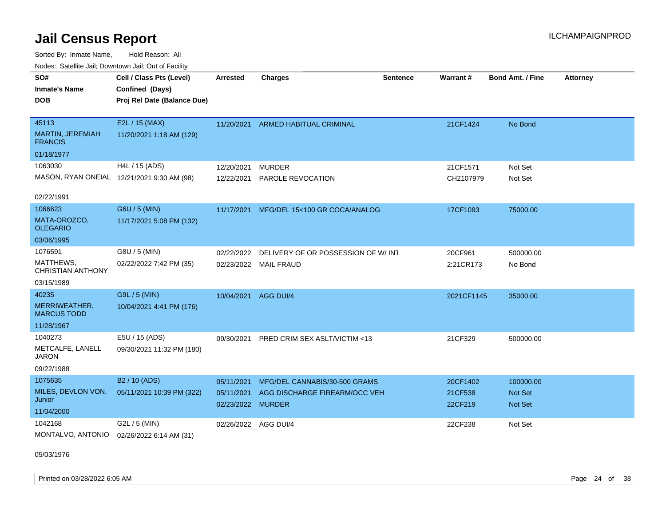Sorted By: Inmate Name, Hold Reason: All Nodes: Satellite Jail; Downtown Jail; Out of Facility

| <u>Houce.</u> Oatchite Jan, Downtown Jan, Out of Facility |                                            |                      |                                    |                 |                    |                         |                 |
|-----------------------------------------------------------|--------------------------------------------|----------------------|------------------------------------|-----------------|--------------------|-------------------------|-----------------|
| SO#                                                       | Cell / Class Pts (Level)                   | <b>Arrested</b>      | <b>Charges</b>                     | <b>Sentence</b> | Warrant#           | <b>Bond Amt. / Fine</b> | <b>Attorney</b> |
| <b>Inmate's Name</b>                                      | Confined (Days)                            |                      |                                    |                 |                    |                         |                 |
| <b>DOB</b>                                                | Proj Rel Date (Balance Due)                |                      |                                    |                 |                    |                         |                 |
|                                                           |                                            |                      |                                    |                 |                    |                         |                 |
| 45113                                                     | E2L / 15 (MAX)                             | 11/20/2021           | <b>ARMED HABITUAL CRIMINAL</b>     |                 | 21CF1424           | No Bond                 |                 |
| <b>MARTIN, JEREMIAH</b><br><b>FRANCIS</b>                 | 11/20/2021 1:18 AM (129)                   |                      |                                    |                 |                    |                         |                 |
| 01/18/1977                                                |                                            |                      |                                    |                 |                    |                         |                 |
| 1063030                                                   | H4L / 15 (ADS)                             | 12/20/2021           | <b>MURDER</b>                      |                 | 21CF1571           | Not Set                 |                 |
|                                                           | MASON, RYAN ONEIAL 12/21/2021 9:30 AM (98) | 12/22/2021           | <b>PAROLE REVOCATION</b>           |                 | CH2107979          | Not Set                 |                 |
|                                                           |                                            |                      |                                    |                 |                    |                         |                 |
| 02/22/1991                                                |                                            |                      |                                    |                 |                    |                         |                 |
| 1066623                                                   | G6U / 5 (MIN)                              | 11/17/2021           | MFG/DEL 15<100 GR COCA/ANALOG      |                 | 17CF1093           | 75000.00                |                 |
| MATA-OROZCO,<br><b>OLEGARIO</b>                           | 11/17/2021 5:08 PM (132)                   |                      |                                    |                 |                    |                         |                 |
| 03/06/1995                                                |                                            |                      |                                    |                 |                    |                         |                 |
| 1076591                                                   | G8U / 5 (MIN)                              | 02/22/2022           | DELIVERY OF OR POSSESSION OF W/INT |                 | 20CF961            | 500000.00               |                 |
| MATTHEWS,<br><b>CHRISTIAN ANTHONY</b>                     | 02/22/2022 7:42 PM (35)                    | 02/23/2022           | <b>MAIL FRAUD</b>                  |                 | 2:21CR173          | No Bond                 |                 |
| 03/15/1989                                                |                                            |                      |                                    |                 |                    |                         |                 |
| 40235                                                     | G9L / 5 (MIN)                              | 10/04/2021           | AGG DUI/4                          |                 | 2021CF1145         | 35000.00                |                 |
| MERRIWEATHER,<br><b>MARCUS TODD</b>                       | 10/04/2021 4:41 PM (176)                   |                      |                                    |                 |                    |                         |                 |
| 11/28/1967                                                |                                            |                      |                                    |                 |                    |                         |                 |
| 1040273                                                   | E5U / 15 (ADS)                             | 09/30/2021           | PRED CRIM SEX ASLT/VICTIM <13      |                 | 21CF329            | 500000.00               |                 |
| METCALFE, LANELL<br><b>JARON</b>                          | 09/30/2021 11:32 PM (180)                  |                      |                                    |                 |                    |                         |                 |
| 09/22/1988                                                |                                            |                      |                                    |                 |                    |                         |                 |
| 1075635                                                   | B <sub>2</sub> / 10 (ADS)                  | 05/11/2021           | MFG/DEL CANNABIS/30-500 GRAMS      |                 | 20CF1402           | 100000.00               |                 |
| MILES, DEVLON VON,<br>Junior                              | 05/11/2021 10:39 PM (322)                  | 05/11/2021           | AGG DISCHARGE FIREARM/OCC VEH      |                 | 21CF538<br>22CF219 | <b>Not Set</b>          |                 |
| 11/04/2000                                                |                                            | 02/23/2022 MURDER    |                                    |                 |                    | <b>Not Set</b>          |                 |
| 1042168                                                   | G2L / 5 (MIN)                              | 02/26/2022 AGG DUI/4 |                                    |                 | 22CF238            | Not Set                 |                 |
| MONTALVO, ANTONIO                                         | 02/26/2022 6:14 AM (31)                    |                      |                                    |                 |                    |                         |                 |

05/03/1976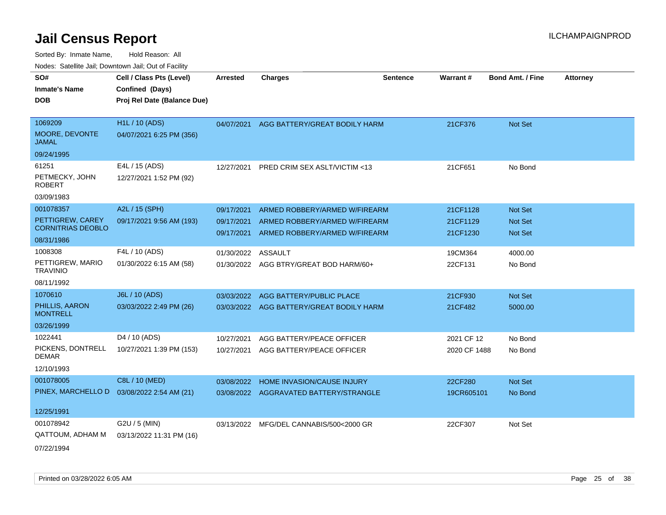| <u>Rodos.</u> Odiolino dali, Downtown dali, Odi of Fabilit |                             |            |                                          |                 |              |                         |                 |
|------------------------------------------------------------|-----------------------------|------------|------------------------------------------|-----------------|--------------|-------------------------|-----------------|
| SO#                                                        | Cell / Class Pts (Level)    | Arrested   | <b>Charges</b>                           | <b>Sentence</b> | Warrant#     | <b>Bond Amt. / Fine</b> | <b>Attorney</b> |
| <b>Inmate's Name</b>                                       | Confined (Days)             |            |                                          |                 |              |                         |                 |
| <b>DOB</b>                                                 | Proj Rel Date (Balance Due) |            |                                          |                 |              |                         |                 |
|                                                            |                             |            |                                          |                 |              |                         |                 |
| 1069209                                                    | <b>H1L / 10 (ADS)</b>       |            | 04/07/2021 AGG BATTERY/GREAT BODILY HARM |                 | 21CF376      | Not Set                 |                 |
| MOORE, DEVONTE<br><b>JAMAL</b>                             | 04/07/2021 6:25 PM (356)    |            |                                          |                 |              |                         |                 |
| 09/24/1995                                                 |                             |            |                                          |                 |              |                         |                 |
| 61251                                                      | E4L / 15 (ADS)              | 12/27/2021 | PRED CRIM SEX ASLT/VICTIM <13            |                 | 21CF651      | No Bond                 |                 |
| PETMECKY, JOHN<br><b>ROBERT</b>                            | 12/27/2021 1:52 PM (92)     |            |                                          |                 |              |                         |                 |
| 03/09/1983                                                 |                             |            |                                          |                 |              |                         |                 |
| 001078357                                                  | A2L / 15 (SPH)              | 09/17/2021 | ARMED ROBBERY/ARMED W/FIREARM            |                 | 21CF1128     | Not Set                 |                 |
| PETTIGREW, CAREY<br><b>CORNITRIAS DEOBLO</b>               | 09/17/2021 9:56 AM (193)    | 09/17/2021 | ARMED ROBBERY/ARMED W/FIREARM            |                 | 21CF1129     | Not Set                 |                 |
| 08/31/1986                                                 |                             | 09/17/2021 | ARMED ROBBERY/ARMED W/FIREARM            |                 | 21CF1230     | Not Set                 |                 |
| 1008308                                                    | F4L / 10 (ADS)              | 01/30/2022 | <b>ASSAULT</b>                           |                 | 19CM364      | 4000.00                 |                 |
| PETTIGREW, MARIO<br><b>TRAVINIO</b>                        | 01/30/2022 6:15 AM (58)     |            | 01/30/2022 AGG BTRY/GREAT BOD HARM/60+   |                 | 22CF131      | No Bond                 |                 |
| 08/11/1992                                                 |                             |            |                                          |                 |              |                         |                 |
| 1070610                                                    | J6L / 10 (ADS)              | 03/03/2022 | AGG BATTERY/PUBLIC PLACE                 |                 | 21CF930      | Not Set                 |                 |
| PHILLIS, AARON<br><b>MONTRELL</b>                          | 03/03/2022 2:49 PM (26)     |            | 03/03/2022 AGG BATTERY/GREAT BODILY HARM |                 | 21CF482      | 5000.00                 |                 |
| 03/26/1999                                                 |                             |            |                                          |                 |              |                         |                 |
| 1022441                                                    | D4 / 10 (ADS)               | 10/27/2021 | AGG BATTERY/PEACE OFFICER                |                 | 2021 CF 12   | No Bond                 |                 |
| PICKENS, DONTRELL<br><b>DEMAR</b>                          | 10/27/2021 1:39 PM (153)    | 10/27/2021 | AGG BATTERY/PEACE OFFICER                |                 | 2020 CF 1488 | No Bond                 |                 |
| 12/10/1993                                                 |                             |            |                                          |                 |              |                         |                 |
| 001078005                                                  | C8L / 10 (MED)              | 03/08/2022 | HOME INVASION/CAUSE INJURY               |                 | 22CF280      | Not Set                 |                 |
| PINEX, MARCHELLO D                                         | 03/08/2022 2:54 AM (21)     |            | 03/08/2022 AGGRAVATED BATTERY/STRANGLE   |                 | 19CR605101   | No Bond                 |                 |
|                                                            |                             |            |                                          |                 |              |                         |                 |
| 12/25/1991                                                 |                             |            |                                          |                 |              |                         |                 |
| 001078942                                                  | G2U / 5 (MIN)               |            | 03/13/2022 MFG/DEL CANNABIS/500<2000 GR  |                 | 22CF307      | Not Set                 |                 |
| QATTOUM, ADHAM M                                           | 03/13/2022 11:31 PM (16)    |            |                                          |                 |              |                         |                 |
| 07/22/1994                                                 |                             |            |                                          |                 |              |                         |                 |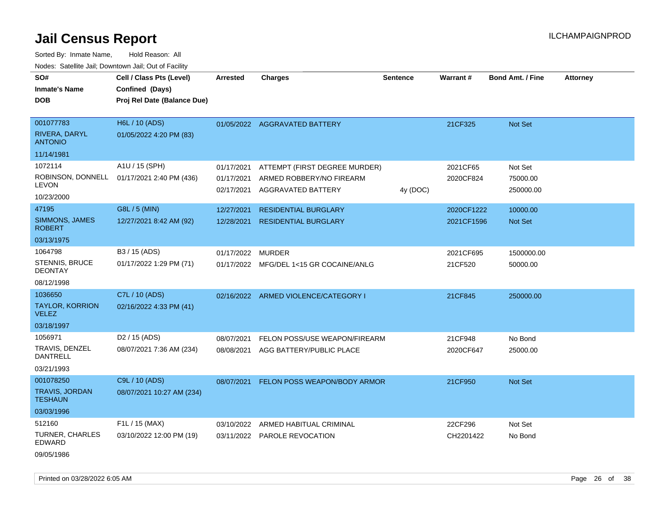Sorted By: Inmate Name, Hold Reason: All Nodes: Satellite Jail; Downtown Jail; Out of Facility

| vouco. Odichite Jail, Downtown Jail, Out of Facility |                                                                            |            |                               |                 |            |                         |                 |
|------------------------------------------------------|----------------------------------------------------------------------------|------------|-------------------------------|-----------------|------------|-------------------------|-----------------|
| SO#<br><b>Inmate's Name</b><br><b>DOB</b>            | Cell / Class Pts (Level)<br>Confined (Days)<br>Proj Rel Date (Balance Due) | Arrested   | <b>Charges</b>                | <b>Sentence</b> | Warrant#   | <b>Bond Amt. / Fine</b> | <b>Attorney</b> |
|                                                      |                                                                            |            |                               |                 |            |                         |                 |
| 001077783                                            | H6L / 10 (ADS)                                                             |            | 01/05/2022 AGGRAVATED BATTERY |                 | 21CF325    | Not Set                 |                 |
| RIVERA, DARYL<br><b>ANTONIO</b>                      | 01/05/2022 4:20 PM (83)                                                    |            |                               |                 |            |                         |                 |
| 11/14/1981                                           |                                                                            |            |                               |                 |            |                         |                 |
| 1072114                                              | A1U / 15 (SPH)                                                             | 01/17/2021 | ATTEMPT (FIRST DEGREE MURDER) |                 | 2021CF65   | Not Set                 |                 |
| <b>LEVON</b>                                         | ROBINSON, DONNELL 01/17/2021 2:40 PM (436)                                 | 01/17/2021 | ARMED ROBBERY/NO FIREARM      |                 | 2020CF824  | 75000.00                |                 |
| 10/23/2000                                           |                                                                            | 02/17/2021 | AGGRAVATED BATTERY            | 4y (DOC)        |            | 250000.00               |                 |
| 47195                                                | G8L / 5 (MIN)                                                              | 12/27/2021 | <b>RESIDENTIAL BURGLARY</b>   |                 | 2020CF1222 | 10000.00                |                 |
| SIMMONS, JAMES<br><b>ROBERT</b>                      | 12/27/2021 8:42 AM (92)                                                    | 12/28/2021 | <b>RESIDENTIAL BURGLARY</b>   |                 | 2021CF1596 | <b>Not Set</b>          |                 |
| 03/13/1975                                           |                                                                            |            |                               |                 |            |                         |                 |
| 1064798                                              | B3 / 15 (ADS)                                                              | 01/17/2022 | <b>MURDER</b>                 |                 | 2021CF695  | 1500000.00              |                 |
| <b>STENNIS, BRUCE</b><br><b>DEONTAY</b>              | 01/17/2022 1:29 PM (71)                                                    | 01/17/2022 | MFG/DEL 1<15 GR COCAINE/ANLG  |                 | 21CF520    | 50000.00                |                 |
| 08/12/1998                                           |                                                                            |            |                               |                 |            |                         |                 |
| 1036650                                              | C7L / 10 (ADS)                                                             | 02/16/2022 | ARMED VIOLENCE/CATEGORY I     |                 | 21CF845    | 250000.00               |                 |
| <b>TAYLOR, KORRION</b><br><b>VELEZ</b>               | 02/16/2022 4:33 PM (41)                                                    |            |                               |                 |            |                         |                 |
| 03/18/1997                                           |                                                                            |            |                               |                 |            |                         |                 |
| 1056971                                              | D <sub>2</sub> / 15 (ADS)                                                  | 08/07/2021 | FELON POSS/USE WEAPON/FIREARM |                 | 21CF948    | No Bond                 |                 |
| TRAVIS, DENZEL<br><b>DANTRELL</b>                    | 08/07/2021 7:36 AM (234)                                                   | 08/08/2021 | AGG BATTERY/PUBLIC PLACE      |                 | 2020CF647  | 25000.00                |                 |
| 03/21/1993                                           |                                                                            |            |                               |                 |            |                         |                 |
| 001078250                                            | C9L / 10 (ADS)                                                             | 08/07/2021 | FELON POSS WEAPON/BODY ARMOR  |                 | 21CF950    | Not Set                 |                 |
| <b>TRAVIS, JORDAN</b><br><b>TESHAUN</b>              | 08/07/2021 10:27 AM (234)                                                  |            |                               |                 |            |                         |                 |
| 03/03/1996                                           |                                                                            |            |                               |                 |            |                         |                 |
| 512160                                               | F1L / 15 (MAX)                                                             | 03/10/2022 | ARMED HABITUAL CRIMINAL       |                 | 22CF296    | Not Set                 |                 |
| TURNER, CHARLES<br>EDWARD                            | 03/10/2022 12:00 PM (19)                                                   |            | 03/11/2022 PAROLE REVOCATION  |                 | CH2201422  | No Bond                 |                 |

09/05/1986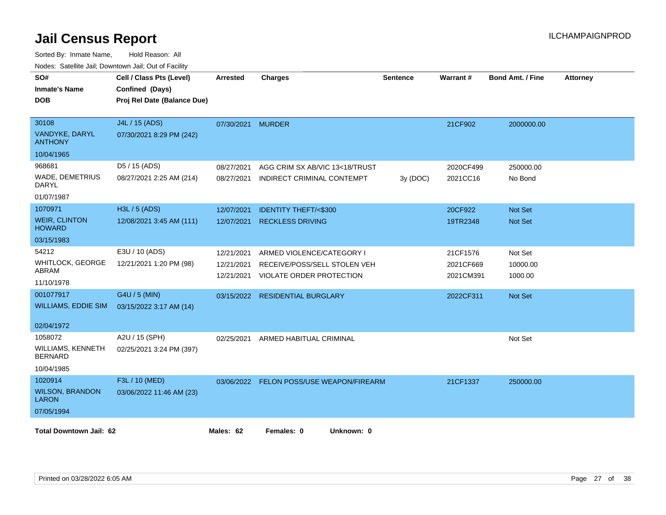| roaco. Calcinio can, Downlown can, Out or Fability |                             |            |                                          |                 |                 |                         |                 |
|----------------------------------------------------|-----------------------------|------------|------------------------------------------|-----------------|-----------------|-------------------------|-----------------|
| SO#                                                | Cell / Class Pts (Level)    | Arrested   | <b>Charges</b>                           | <b>Sentence</b> | <b>Warrant#</b> | <b>Bond Amt. / Fine</b> | <b>Attorney</b> |
| <b>Inmate's Name</b>                               | Confined (Days)             |            |                                          |                 |                 |                         |                 |
| <b>DOB</b>                                         | Proj Rel Date (Balance Due) |            |                                          |                 |                 |                         |                 |
|                                                    |                             |            |                                          |                 |                 |                         |                 |
| 30108                                              | J4L / 15 (ADS)              | 07/30/2021 | <b>MURDER</b>                            |                 | 21CF902         | 2000000.00              |                 |
| VANDYKE, DARYL<br><b>ANTHONY</b>                   | 07/30/2021 8:29 PM (242)    |            |                                          |                 |                 |                         |                 |
| 10/04/1965                                         |                             |            |                                          |                 |                 |                         |                 |
| 968681                                             | D5 / 15 (ADS)               | 08/27/2021 | AGG CRIM SX AB/VIC 13<18/TRUST           |                 | 2020CF499       | 250000.00               |                 |
| WADE, DEMETRIUS<br>DARYL                           | 08/27/2021 2:25 AM (214)    | 08/27/2021 | INDIRECT CRIMINAL CONTEMPT               | 3y (DOC)        | 2021CC16        | No Bond                 |                 |
| 01/07/1987                                         |                             |            |                                          |                 |                 |                         |                 |
| 1070971                                            | $H3L / 5$ (ADS)             | 12/07/2021 | <b>IDENTITY THEFT/&lt;\$300</b>          |                 | 20CF922         | Not Set                 |                 |
| <b>WEIR, CLINTON</b><br><b>HOWARD</b>              | 12/08/2021 3:45 AM (111)    | 12/07/2021 | <b>RECKLESS DRIVING</b>                  |                 | 19TR2348        | <b>Not Set</b>          |                 |
| 03/15/1983                                         |                             |            |                                          |                 |                 |                         |                 |
| 54212                                              | E3U / 10 (ADS)              | 12/21/2021 | ARMED VIOLENCE/CATEGORY I                |                 | 21CF1576        | Not Set                 |                 |
| <b>WHITLOCK, GEORGE</b>                            | 12/21/2021 1:20 PM (98)     | 12/21/2021 | RECEIVE/POSS/SELL STOLEN VEH             |                 | 2021CF669       | 10000.00                |                 |
| ABRAM                                              |                             | 12/21/2021 | <b>VIOLATE ORDER PROTECTION</b>          |                 | 2021CM391       | 1000.00                 |                 |
| 11/10/1978                                         |                             |            |                                          |                 |                 |                         |                 |
| 001077917                                          | G4U / 5 (MIN)               | 03/15/2022 | <b>RESIDENTIAL BURGLARY</b>              |                 | 2022CF311       | Not Set                 |                 |
| <b>WILLIAMS, EDDIE SIM</b>                         | 03/15/2022 3:17 AM (14)     |            |                                          |                 |                 |                         |                 |
| 02/04/1972                                         |                             |            |                                          |                 |                 |                         |                 |
| 1058072                                            | A2U / 15 (SPH)              | 02/25/2021 | ARMED HABITUAL CRIMINAL                  |                 |                 | Not Set                 |                 |
| <b>WILLIAMS, KENNETH</b><br><b>BERNARD</b>         | 02/25/2021 3:24 PM (397)    |            |                                          |                 |                 |                         |                 |
| 10/04/1985                                         |                             |            |                                          |                 |                 |                         |                 |
| 1020914                                            | F3L / 10 (MED)              |            | 03/06/2022 FELON POSS/USE WEAPON/FIREARM |                 | 21CF1337        | 250000.00               |                 |
| <b>WILSON, BRANDON</b><br><b>LARON</b>             | 03/06/2022 11:46 AM (23)    |            |                                          |                 |                 |                         |                 |
| 07/05/1994                                         |                             |            |                                          |                 |                 |                         |                 |
|                                                    |                             |            |                                          |                 |                 |                         |                 |
| <b>Total Downtown Jail: 62</b>                     |                             | Males: 62  | Females: 0<br>Unknown: 0                 |                 |                 |                         |                 |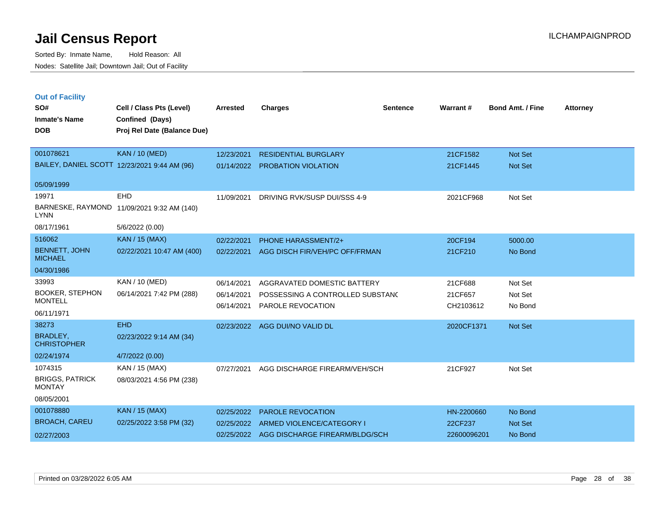Sorted By: Inmate Name, Hold Reason: All Nodes: Satellite Jail; Downtown Jail; Out of Facility

| <b>Out of Facility</b>                  |                                              |                 |                                  |                 |            |                         |                 |
|-----------------------------------------|----------------------------------------------|-----------------|----------------------------------|-----------------|------------|-------------------------|-----------------|
| SO#                                     | Cell / Class Pts (Level)                     | <b>Arrested</b> | <b>Charges</b>                   | <b>Sentence</b> | Warrant#   | <b>Bond Amt. / Fine</b> | <b>Attorney</b> |
| <b>Inmate's Name</b>                    | Confined (Days)                              |                 |                                  |                 |            |                         |                 |
| <b>DOB</b>                              | Proj Rel Date (Balance Due)                  |                 |                                  |                 |            |                         |                 |
|                                         |                                              |                 |                                  |                 |            |                         |                 |
| 001078621                               | <b>KAN / 10 (MED)</b>                        | 12/23/2021      | <b>RESIDENTIAL BURGLARY</b>      |                 | 21CF1582   | Not Set                 |                 |
|                                         | BAILEY, DANIEL SCOTT 12/23/2021 9:44 AM (96) | 01/14/2022      | PROBATION VIOLATION              |                 | 21CF1445   | Not Set                 |                 |
| 05/09/1999                              |                                              |                 |                                  |                 |            |                         |                 |
| 19971                                   | <b>EHD</b>                                   | 11/09/2021      | DRIVING RVK/SUSP DUI/SSS 4-9     |                 | 2021CF968  | Not Set                 |                 |
| <b>LYNN</b>                             | BARNESKE, RAYMOND 11/09/2021 9:32 AM (140)   |                 |                                  |                 |            |                         |                 |
| 08/17/1961                              | 5/6/2022 (0.00)                              |                 |                                  |                 |            |                         |                 |
| 516062                                  | <b>KAN / 15 (MAX)</b>                        | 02/22/2021      | <b>PHONE HARASSMENT/2+</b>       |                 | 20CF194    | 5000.00                 |                 |
| <b>BENNETT, JOHN</b><br><b>MICHAEL</b>  | 02/22/2021 10:47 AM (400)                    | 02/22/2021      | AGG DISCH FIR/VEH/PC OFF/FRMAN   |                 | 21CF210    | No Bond                 |                 |
| 04/30/1986                              |                                              |                 |                                  |                 |            |                         |                 |
| 33993                                   | KAN / 10 (MED)                               | 06/14/2021      | AGGRAVATED DOMESTIC BATTERY      |                 | 21CF688    | Not Set                 |                 |
| <b>BOOKER, STEPHON</b>                  | 06/14/2021 7:42 PM (288)                     | 06/14/2021      | POSSESSING A CONTROLLED SUBSTANC |                 | 21CF657    | Not Set                 |                 |
| <b>MONTELL</b>                          |                                              | 06/14/2021      | PAROLE REVOCATION                |                 | CH2103612  | No Bond                 |                 |
| 06/11/1971                              |                                              |                 |                                  |                 |            |                         |                 |
| 38273                                   | <b>EHD</b>                                   | 02/23/2022      | AGG DUI/NO VALID DL              |                 | 2020CF1371 | Not Set                 |                 |
| BRADLEY,<br><b>CHRISTOPHER</b>          | 02/23/2022 9:14 AM (34)                      |                 |                                  |                 |            |                         |                 |
| 02/24/1974                              | 4/7/2022 (0.00)                              |                 |                                  |                 |            |                         |                 |
| 1074315                                 | KAN / 15 (MAX)                               | 07/27/2021      | AGG DISCHARGE FIREARM/VEH/SCH    |                 | 21CF927    | Not Set                 |                 |
| <b>BRIGGS, PATRICK</b><br><b>MONTAY</b> | 08/03/2021 4:56 PM (238)                     |                 |                                  |                 |            |                         |                 |
| 08/05/2001                              |                                              |                 |                                  |                 |            |                         |                 |
| 001078880                               | KAN / 15 (MAX)                               | 02/25/2022      | <b>PAROLE REVOCATION</b>         |                 | HN-2200660 | No Bond                 |                 |
|                                         |                                              |                 |                                  |                 |            |                         |                 |

BROACH, CAREU 001078880 KAN / 15 (MAX) 02/25/2022 3:58 PM (32) 02/27/2003 02/25/2022 ARMED VIOLENCE/CATEGORY I 22CF237 Not Set 02/25/2022 AGG DISCHARGE FIREARM/BLDG/SCH 22600096201 No Bond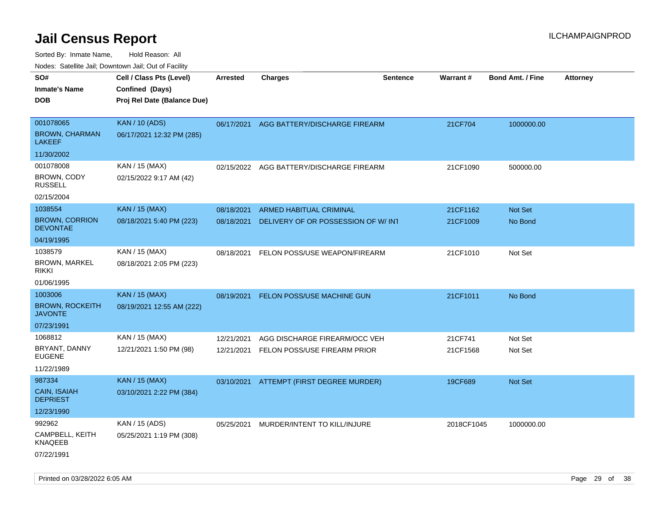| rouco. Calcinic Jan, Downtown Jan, Out of Facility       |                                                                            |                          |                                                               |                 |                      |                         |                 |
|----------------------------------------------------------|----------------------------------------------------------------------------|--------------------------|---------------------------------------------------------------|-----------------|----------------------|-------------------------|-----------------|
| SO#<br>Inmate's Name<br><b>DOB</b>                       | Cell / Class Pts (Level)<br>Confined (Days)<br>Proj Rel Date (Balance Due) | <b>Arrested</b>          | <b>Charges</b>                                                | <b>Sentence</b> | <b>Warrant#</b>      | <b>Bond Amt. / Fine</b> | <b>Attorney</b> |
| 001078065<br><b>BROWN, CHARMAN</b><br><b>LAKEEF</b>      | <b>KAN / 10 (ADS)</b><br>06/17/2021 12:32 PM (285)                         |                          | 06/17/2021 AGG BATTERY/DISCHARGE FIREARM                      |                 | 21CF704              | 1000000.00              |                 |
| 11/30/2002                                               |                                                                            |                          |                                                               |                 |                      |                         |                 |
| 001078008<br>BROWN, CODY<br><b>RUSSELL</b><br>02/15/2004 | KAN / 15 (MAX)<br>02/15/2022 9:17 AM (42)                                  |                          | 02/15/2022 AGG BATTERY/DISCHARGE FIREARM                      |                 | 21CF1090             | 500000.00               |                 |
| 1038554                                                  | <b>KAN / 15 (MAX)</b>                                                      |                          |                                                               |                 |                      |                         |                 |
| <b>BROWN, CORRION</b><br><b>DEVONTAE</b>                 | 08/18/2021 5:40 PM (223)                                                   | 08/18/2021<br>08/18/2021 | ARMED HABITUAL CRIMINAL<br>DELIVERY OF OR POSSESSION OF W/INT |                 | 21CF1162<br>21CF1009 | Not Set<br>No Bond      |                 |
| 04/19/1995                                               |                                                                            |                          |                                                               |                 |                      |                         |                 |
| 1038579<br><b>BROWN, MARKEL</b><br>rikki                 | KAN / 15 (MAX)<br>08/18/2021 2:05 PM (223)                                 | 08/18/2021               | FELON POSS/USE WEAPON/FIREARM                                 |                 | 21CF1010             | Not Set                 |                 |
| 01/06/1995                                               |                                                                            |                          |                                                               |                 |                      |                         |                 |
| 1003006<br><b>BROWN, ROCKEITH</b><br>JAVONTE             | <b>KAN / 15 (MAX)</b><br>08/19/2021 12:55 AM (222)                         | 08/19/2021               | <b>FELON POSS/USE MACHINE GUN</b>                             |                 | 21CF1011             | No Bond                 |                 |
| 07/23/1991                                               |                                                                            |                          |                                                               |                 |                      |                         |                 |
| 1068812<br>BRYANT, DANNY<br>EUGENE<br>11/22/1989         | KAN / 15 (MAX)<br>12/21/2021 1:50 PM (98)                                  | 12/21/2021<br>12/21/2021 | AGG DISCHARGE FIREARM/OCC VEH<br>FELON POSS/USE FIREARM PRIOR |                 | 21CF741<br>21CF1568  | Not Set<br>Not Set      |                 |
| 987334<br>CAIN, ISAIAH<br><b>DEPRIEST</b><br>12/23/1990  | <b>KAN / 15 (MAX)</b><br>03/10/2021 2:22 PM (384)                          |                          | 03/10/2021 ATTEMPT (FIRST DEGREE MURDER)                      |                 | 19CF689              | <b>Not Set</b>          |                 |
| 992962<br>CAMPBELL, KEITH<br>KNAQEEB<br>07/22/1991       | KAN / 15 (ADS)<br>05/25/2021 1:19 PM (308)                                 | 05/25/2021               | MURDER/INTENT TO KILL/INJURE                                  |                 | 2018CF1045           | 1000000.00              |                 |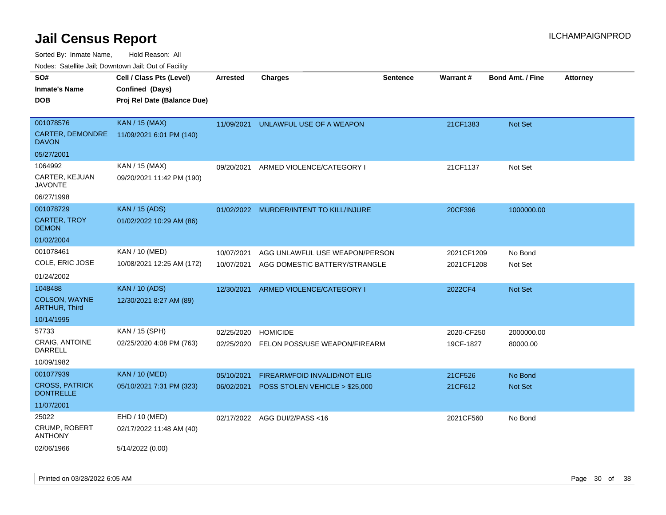Sorted By: Inmate Name, Hold Reason: All

Nodes: Satellite Jail; Downtown Jail; Out of Facility

| SO#                                       | Cell / Class Pts (Level)    | <b>Arrested</b> | <b>Charges</b>                          | <b>Sentence</b> | Warrant#   | <b>Bond Amt. / Fine</b> | <b>Attorney</b> |
|-------------------------------------------|-----------------------------|-----------------|-----------------------------------------|-----------------|------------|-------------------------|-----------------|
| <b>Inmate's Name</b>                      | Confined (Days)             |                 |                                         |                 |            |                         |                 |
| <b>DOB</b>                                | Proj Rel Date (Balance Due) |                 |                                         |                 |            |                         |                 |
|                                           |                             |                 |                                         |                 |            |                         |                 |
| 001078576                                 | <b>KAN / 15 (MAX)</b>       | 11/09/2021      | UNLAWFUL USE OF A WEAPON                |                 | 21CF1383   | Not Set                 |                 |
| <b>CARTER, DEMONDRE</b><br><b>DAVON</b>   | 11/09/2021 6:01 PM (140)    |                 |                                         |                 |            |                         |                 |
| 05/27/2001                                |                             |                 |                                         |                 |            |                         |                 |
| 1064992                                   | KAN / 15 (MAX)              | 09/20/2021      | ARMED VIOLENCE/CATEGORY I               |                 | 21CF1137   | Not Set                 |                 |
| CARTER, KEJUAN<br><b>JAVONTE</b>          | 09/20/2021 11:42 PM (190)   |                 |                                         |                 |            |                         |                 |
| 06/27/1998                                |                             |                 |                                         |                 |            |                         |                 |
| 001078729                                 | <b>KAN</b> / 15 (ADS)       |                 | 01/02/2022 MURDER/INTENT TO KILL/INJURE |                 | 20CF396    | 1000000.00              |                 |
| <b>CARTER, TROY</b><br><b>DEMON</b>       | 01/02/2022 10:29 AM (86)    |                 |                                         |                 |            |                         |                 |
| 01/02/2004                                |                             |                 |                                         |                 |            |                         |                 |
| 001078461                                 | KAN / 10 (MED)              | 10/07/2021      | AGG UNLAWFUL USE WEAPON/PERSON          |                 | 2021CF1209 | No Bond                 |                 |
| COLE, ERIC JOSE                           | 10/08/2021 12:25 AM (172)   | 10/07/2021      | AGG DOMESTIC BATTERY/STRANGLE           |                 | 2021CF1208 | Not Set                 |                 |
| 01/24/2002                                |                             |                 |                                         |                 |            |                         |                 |
| 1048488                                   | <b>KAN / 10 (ADS)</b>       | 12/30/2021      | ARMED VIOLENCE/CATEGORY I               |                 | 2022CF4    | Not Set                 |                 |
| COLSON, WAYNE<br><b>ARTHUR, Third</b>     | 12/30/2021 8:27 AM (89)     |                 |                                         |                 |            |                         |                 |
| 10/14/1995                                |                             |                 |                                         |                 |            |                         |                 |
| 57733                                     | KAN / 15 (SPH)              | 02/25/2020      | <b>HOMICIDE</b>                         |                 | 2020-CF250 | 2000000.00              |                 |
| <b>CRAIG, ANTOINE</b><br>DARRELL          | 02/25/2020 4:08 PM (763)    | 02/25/2020      | FELON POSS/USE WEAPON/FIREARM           |                 | 19CF-1827  | 80000.00                |                 |
| 10/09/1982                                |                             |                 |                                         |                 |            |                         |                 |
| 001077939                                 | <b>KAN / 10 (MED)</b>       | 05/10/2021      | <b>FIREARM/FOID INVALID/NOT ELIG</b>    |                 | 21CF526    | No Bond                 |                 |
| <b>CROSS, PATRICK</b><br><b>DONTRELLE</b> | 05/10/2021 7:31 PM (323)    | 06/02/2021      | POSS STOLEN VEHICLE > \$25,000          |                 | 21CF612    | <b>Not Set</b>          |                 |
| 11/07/2001                                |                             |                 |                                         |                 |            |                         |                 |
| 25022                                     | EHD / 10 (MED)              |                 | 02/17/2022 AGG DUI/2/PASS<16            |                 | 2021CF560  | No Bond                 |                 |
| <b>CRUMP, ROBERT</b><br><b>ANTHONY</b>    | 02/17/2022 11:48 AM (40)    |                 |                                         |                 |            |                         |                 |
| 02/06/1966                                | 5/14/2022 (0.00)            |                 |                                         |                 |            |                         |                 |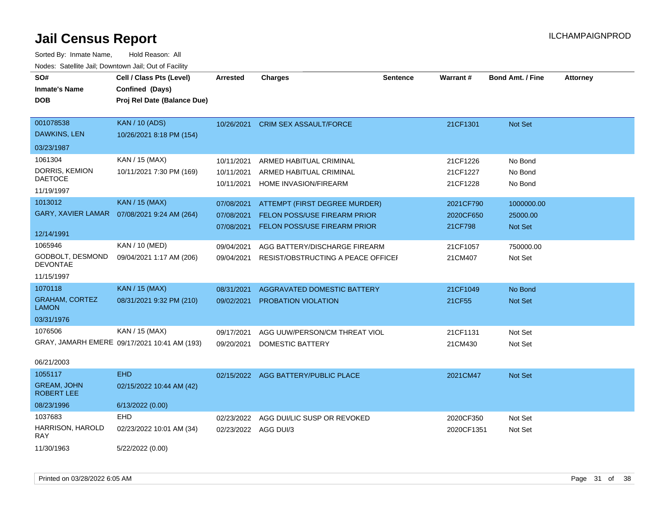| roaco. Catolino cali, Downtown cali, Out of Fability |                                              |                      |                                              |                 |                 |                         |                 |
|------------------------------------------------------|----------------------------------------------|----------------------|----------------------------------------------|-----------------|-----------------|-------------------------|-----------------|
| SO#                                                  | Cell / Class Pts (Level)                     | <b>Arrested</b>      | <b>Charges</b>                               | <b>Sentence</b> | <b>Warrant#</b> | <b>Bond Amt. / Fine</b> | <b>Attorney</b> |
| <b>Inmate's Name</b>                                 | Confined (Days)                              |                      |                                              |                 |                 |                         |                 |
| <b>DOB</b>                                           | Proj Rel Date (Balance Due)                  |                      |                                              |                 |                 |                         |                 |
|                                                      |                                              |                      |                                              |                 |                 |                         |                 |
| 001078538                                            | <b>KAN / 10 (ADS)</b>                        |                      | 10/26/2021 CRIM SEX ASSAULT/FORCE            |                 | 21CF1301        | Not Set                 |                 |
| DAWKINS, LEN                                         | 10/26/2021 8:18 PM (154)                     |                      |                                              |                 |                 |                         |                 |
| 03/23/1987                                           |                                              |                      |                                              |                 |                 |                         |                 |
| 1061304                                              | KAN / 15 (MAX)                               | 10/11/2021           | ARMED HABITUAL CRIMINAL                      |                 | 21CF1226        | No Bond                 |                 |
| DORRIS, KEMION                                       | 10/11/2021 7:30 PM (169)                     | 10/11/2021           | ARMED HABITUAL CRIMINAL                      |                 | 21CF1227        | No Bond                 |                 |
| <b>DAETOCE</b>                                       |                                              | 10/11/2021           | HOME INVASION/FIREARM                        |                 | 21CF1228        | No Bond                 |                 |
| 11/19/1997                                           |                                              |                      |                                              |                 |                 |                         |                 |
| 1013012                                              | <b>KAN / 15 (MAX)</b>                        | 07/08/2021           | ATTEMPT (FIRST DEGREE MURDER)                |                 | 2021CF790       | 1000000.00              |                 |
| <b>GARY, XAVIER LAMAR</b>                            | 07/08/2021 9:24 AM (264)                     | 07/08/2021           | <b>FELON POSS/USE FIREARM PRIOR</b>          |                 | 2020CF650       | 25000.00                |                 |
|                                                      |                                              | 07/08/2021           | FELON POSS/USE FIREARM PRIOR                 |                 | 21CF798         | Not Set                 |                 |
| 12/14/1991                                           |                                              |                      |                                              |                 |                 |                         |                 |
| 1065946                                              | KAN / 10 (MED)                               | 09/04/2021           | AGG BATTERY/DISCHARGE FIREARM                |                 | 21CF1057        | 750000.00               |                 |
| GODBOLT, DESMOND<br><b>DEVONTAE</b>                  | 09/04/2021 1:17 AM (206)                     |                      | 09/04/2021 RESIST/OBSTRUCTING A PEACE OFFICE |                 | 21CM407         | Not Set                 |                 |
| 11/15/1997                                           |                                              |                      |                                              |                 |                 |                         |                 |
| 1070118                                              | <b>KAN / 15 (MAX)</b>                        | 08/31/2021           | AGGRAVATED DOMESTIC BATTERY                  |                 | 21CF1049        | No Bond                 |                 |
| <b>GRAHAM, CORTEZ</b><br><b>LAMON</b>                | 08/31/2021 9:32 PM (210)                     | 09/02/2021           | PROBATION VIOLATION                          |                 | 21CF55          | Not Set                 |                 |
| 03/31/1976                                           |                                              |                      |                                              |                 |                 |                         |                 |
| 1076506                                              | KAN / 15 (MAX)                               | 09/17/2021           | AGG UUW/PERSON/CM THREAT VIOL                |                 | 21CF1131        | Not Set                 |                 |
|                                                      | GRAY, JAMARH EMERE 09/17/2021 10:41 AM (193) | 09/20/2021           | DOMESTIC BATTERY                             |                 | 21CM430         | Not Set                 |                 |
|                                                      |                                              |                      |                                              |                 |                 |                         |                 |
| 06/21/2003                                           |                                              |                      |                                              |                 |                 |                         |                 |
| 1055117                                              | <b>EHD</b>                                   |                      | 02/15/2022 AGG BATTERY/PUBLIC PLACE          |                 | 2021CM47        | Not Set                 |                 |
| <b>GREAM, JOHN</b><br><b>ROBERT LEE</b>              | 02/15/2022 10:44 AM (42)                     |                      |                                              |                 |                 |                         |                 |
| 08/23/1996                                           | 6/13/2022 (0.00)                             |                      |                                              |                 |                 |                         |                 |
| 1037683                                              | <b>EHD</b>                                   | 02/23/2022           | AGG DUI/LIC SUSP OR REVOKED                  |                 | 2020CF350       | Not Set                 |                 |
| HARRISON, HAROLD<br><b>RAY</b>                       | 02/23/2022 10:01 AM (34)                     | 02/23/2022 AGG DUI/3 |                                              |                 | 2020CF1351      | Not Set                 |                 |
| 11/30/1963                                           | 5/22/2022 (0.00)                             |                      |                                              |                 |                 |                         |                 |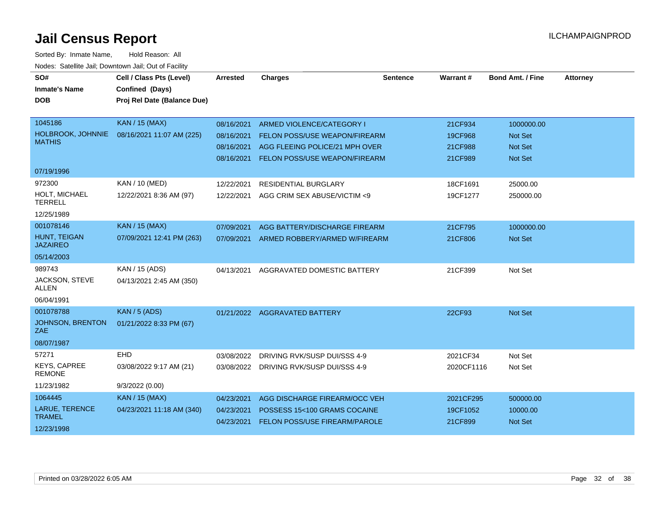| SO#                                  | Cell / Class Pts (Level)    | Arrested   | <b>Charges</b>                           | <b>Sentence</b> | Warrant #  | <b>Bond Amt. / Fine</b> | <b>Attorney</b> |
|--------------------------------------|-----------------------------|------------|------------------------------------------|-----------------|------------|-------------------------|-----------------|
| <b>Inmate's Name</b>                 | Confined (Days)             |            |                                          |                 |            |                         |                 |
| <b>DOB</b>                           | Proj Rel Date (Balance Due) |            |                                          |                 |            |                         |                 |
|                                      |                             |            |                                          |                 |            |                         |                 |
| 1045186                              | <b>KAN / 15 (MAX)</b>       | 08/16/2021 | ARMED VIOLENCE/CATEGORY I                |                 | 21CF934    | 1000000.00              |                 |
| HOLBROOK, JOHNNIE                    | 08/16/2021 11:07 AM (225)   | 08/16/2021 | FELON POSS/USE WEAPON/FIREARM            |                 | 19CF968    | Not Set                 |                 |
| <b>MATHIS</b>                        |                             | 08/16/2021 | AGG FLEEING POLICE/21 MPH OVER           |                 | 21CF988    | <b>Not Set</b>          |                 |
|                                      |                             | 08/16/2021 | FELON POSS/USE WEAPON/FIREARM            |                 | 21CF989    | <b>Not Set</b>          |                 |
| 07/19/1996                           |                             |            |                                          |                 |            |                         |                 |
| 972300                               | KAN / 10 (MED)              | 12/22/2021 | RESIDENTIAL BURGLARY                     |                 | 18CF1691   | 25000.00                |                 |
| HOLT, MICHAEL<br><b>TERRELL</b>      | 12/22/2021 8:36 AM (97)     | 12/22/2021 | AGG CRIM SEX ABUSE/VICTIM <9             |                 | 19CF1277   | 250000.00               |                 |
| 12/25/1989                           |                             |            |                                          |                 |            |                         |                 |
| 001078146                            | <b>KAN / 15 (MAX)</b>       | 07/09/2021 | AGG BATTERY/DISCHARGE FIREARM            |                 | 21CF795    | 1000000.00              |                 |
| HUNT, TEIGAN<br><b>JAZAIREO</b>      | 07/09/2021 12:41 PM (263)   |            | 07/09/2021 ARMED ROBBERY/ARMED W/FIREARM |                 | 21CF806    | Not Set                 |                 |
| 05/14/2003                           |                             |            |                                          |                 |            |                         |                 |
| 989743                               | KAN / 15 (ADS)              | 04/13/2021 | AGGRAVATED DOMESTIC BATTERY              |                 | 21CF399    | Not Set                 |                 |
| JACKSON, STEVE<br><b>ALLEN</b>       | 04/13/2021 2:45 AM (350)    |            |                                          |                 |            |                         |                 |
| 06/04/1991                           |                             |            |                                          |                 |            |                         |                 |
| 001078788                            | KAN / 5 (ADS)               |            | 01/21/2022 AGGRAVATED BATTERY            |                 | 22CF93     | Not Set                 |                 |
| <b>JOHNSON, BRENTON</b><br>ZAE       | 01/21/2022 8:33 PM (67)     |            |                                          |                 |            |                         |                 |
| 08/07/1987                           |                             |            |                                          |                 |            |                         |                 |
| 57271                                | EHD                         | 03/08/2022 | DRIVING RVK/SUSP DUI/SSS 4-9             |                 | 2021CF34   | Not Set                 |                 |
| <b>KEYS, CAPREE</b><br><b>REMONE</b> | 03/08/2022 9:17 AM (21)     | 03/08/2022 | DRIVING RVK/SUSP DUI/SSS 4-9             |                 | 2020CF1116 | Not Set                 |                 |
| 11/23/1982                           | 9/3/2022(0.00)              |            |                                          |                 |            |                         |                 |
| 1064445                              | <b>KAN / 15 (MAX)</b>       | 04/23/2021 | AGG DISCHARGE FIREARM/OCC VEH            |                 | 2021CF295  | 500000.00               |                 |
| <b>LARUE, TERENCE</b>                | 04/23/2021 11:18 AM (340)   | 04/23/2021 | POSSESS 15<100 GRAMS COCAINE             |                 | 19CF1052   | 10000.00                |                 |
| <b>TRAMEL</b>                        |                             | 04/23/2021 | FELON POSS/USE FIREARM/PAROLE            |                 | 21CF899    | Not Set                 |                 |
| 12/23/1998                           |                             |            |                                          |                 |            |                         |                 |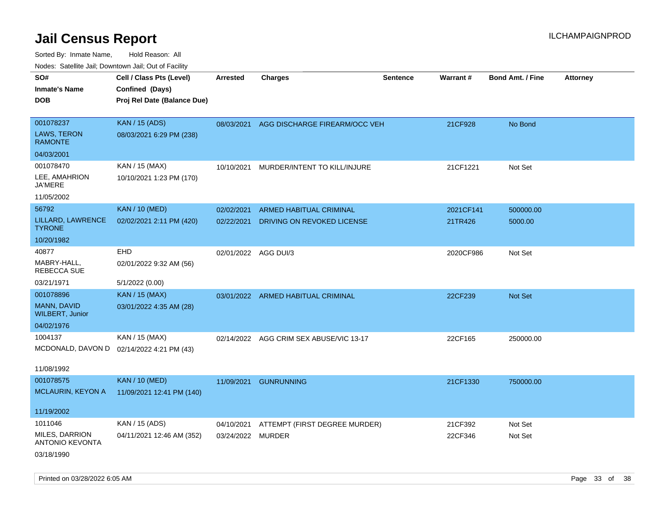| ivoues. Salellite Jali, Downtown Jali, Out of Facility |                                           |                      |                                         |                 |                 |                         |                 |
|--------------------------------------------------------|-------------------------------------------|----------------------|-----------------------------------------|-----------------|-----------------|-------------------------|-----------------|
| SO#                                                    | Cell / Class Pts (Level)                  | <b>Arrested</b>      | <b>Charges</b>                          | <b>Sentence</b> | <b>Warrant#</b> | <b>Bond Amt. / Fine</b> | <b>Attorney</b> |
| Inmate's Name                                          | Confined (Days)                           |                      |                                         |                 |                 |                         |                 |
| <b>DOB</b>                                             | Proj Rel Date (Balance Due)               |                      |                                         |                 |                 |                         |                 |
|                                                        |                                           |                      |                                         |                 |                 |                         |                 |
| 001078237                                              | <b>KAN / 15 (ADS)</b>                     | 08/03/2021           | AGG DISCHARGE FIREARM/OCC VEH           |                 | 21CF928         | No Bond                 |                 |
| <b>LAWS, TERON</b><br><b>RAMONTE</b>                   | 08/03/2021 6:29 PM (238)                  |                      |                                         |                 |                 |                         |                 |
| 04/03/2001                                             |                                           |                      |                                         |                 |                 |                         |                 |
| 001078470                                              | KAN / 15 (MAX)                            | 10/10/2021           | MURDER/INTENT TO KILL/INJURE            |                 | 21CF1221        | Not Set                 |                 |
| LEE, AMAHRION<br>JA'MERE                               | 10/10/2021 1:23 PM (170)                  |                      |                                         |                 |                 |                         |                 |
| 11/05/2002                                             |                                           |                      |                                         |                 |                 |                         |                 |
| 56792                                                  | <b>KAN / 10 (MED)</b>                     | 02/02/2021           | <b>ARMED HABITUAL CRIMINAL</b>          |                 | 2021CF141       | 500000.00               |                 |
| LILLARD, LAWRENCE<br>TYRONE                            | 02/02/2021 2:11 PM (420)                  | 02/22/2021           | DRIVING ON REVOKED LICENSE              |                 | 21TR426         | 5000.00                 |                 |
| 10/20/1982                                             |                                           |                      |                                         |                 |                 |                         |                 |
| 40877                                                  | <b>EHD</b>                                | 02/01/2022 AGG DUI/3 |                                         |                 | 2020CF986       | Not Set                 |                 |
| MABRY-HALL,<br>REBECCA SUE                             | 02/01/2022 9:32 AM (56)                   |                      |                                         |                 |                 |                         |                 |
| 03/21/1971                                             | 5/1/2022 (0.00)                           |                      |                                         |                 |                 |                         |                 |
| 001078896                                              | <b>KAN / 15 (MAX)</b>                     |                      | 03/01/2022 ARMED HABITUAL CRIMINAL      |                 | 22CF239         | <b>Not Set</b>          |                 |
| MANN, DAVID<br><b>WILBERT, Junior</b>                  | 03/01/2022 4:35 AM (28)                   |                      |                                         |                 |                 |                         |                 |
| 04/02/1976                                             |                                           |                      |                                         |                 |                 |                         |                 |
| 1004137                                                | KAN / 15 (MAX)                            |                      | 02/14/2022 AGG CRIM SEX ABUSE/VIC 13-17 |                 | 22CF165         | 250000.00               |                 |
|                                                        | MCDONALD, DAVON D 02/14/2022 4:21 PM (43) |                      |                                         |                 |                 |                         |                 |
|                                                        |                                           |                      |                                         |                 |                 |                         |                 |
| 11/08/1992                                             |                                           |                      |                                         |                 |                 |                         |                 |
| 001078575                                              | <b>KAN / 10 (MED)</b>                     | 11/09/2021           | <b>GUNRUNNING</b>                       |                 | 21CF1330        | 750000.00               |                 |
| MCLAURIN, KEYON A                                      | 11/09/2021 12:41 PM (140)                 |                      |                                         |                 |                 |                         |                 |
| 11/19/2002                                             |                                           |                      |                                         |                 |                 |                         |                 |
| 1011046                                                | KAN / 15 (ADS)                            | 04/10/2021           | ATTEMPT (FIRST DEGREE MURDER)           |                 | 21CF392         | Not Set                 |                 |
| MILES, DARRION<br><b>ANTONIO KEVONTA</b>               | 04/11/2021 12:46 AM (352)                 | 03/24/2022 MURDER    |                                         |                 | 22CF346         | Not Set                 |                 |
| 03/18/1990                                             |                                           |                      |                                         |                 |                 |                         |                 |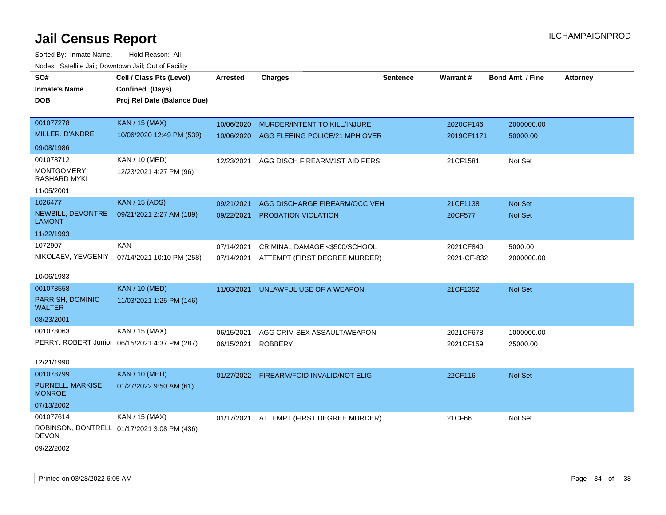| SO#                                | Cell / Class Pts (Level)                      | <b>Arrested</b> | <b>Charges</b>                           | <b>Sentence</b> | Warrant#    | <b>Bond Amt. / Fine</b> | <b>Attorney</b> |
|------------------------------------|-----------------------------------------------|-----------------|------------------------------------------|-----------------|-------------|-------------------------|-----------------|
| Inmate's Name                      | Confined (Days)                               |                 |                                          |                 |             |                         |                 |
| <b>DOB</b>                         | Proj Rel Date (Balance Due)                   |                 |                                          |                 |             |                         |                 |
|                                    |                                               |                 |                                          |                 |             |                         |                 |
| 001077278                          | <b>KAN / 15 (MAX)</b>                         | 10/06/2020      | MURDER/INTENT TO KILL/INJURE             |                 | 2020CF146   | 2000000.00              |                 |
| MILLER, D'ANDRE                    | 10/06/2020 12:49 PM (539)                     | 10/06/2020      | AGG FLEEING POLICE/21 MPH OVER           |                 | 2019CF1171  | 50000.00                |                 |
| 09/08/1986                         |                                               |                 |                                          |                 |             |                         |                 |
| 001078712                          | KAN / 10 (MED)                                | 12/23/2021      | AGG DISCH FIREARM/1ST AID PERS           |                 | 21CF1581    | Not Set                 |                 |
| MONTGOMERY,<br>RASHARD MYKI        | 12/23/2021 4:27 PM (96)                       |                 |                                          |                 |             |                         |                 |
| 11/05/2001                         |                                               |                 |                                          |                 |             |                         |                 |
| 1026477                            | <b>KAN / 15 (ADS)</b>                         | 09/21/2021      | AGG DISCHARGE FIREARM/OCC VEH            |                 | 21CF1138    | <b>Not Set</b>          |                 |
| NEWBILL, DEVONTRE<br><b>LAMONT</b> | 09/21/2021 2:27 AM (189)                      | 09/22/2021      | PROBATION VIOLATION                      |                 | 20CF577     | Not Set                 |                 |
| 11/22/1993                         |                                               |                 |                                          |                 |             |                         |                 |
| 1072907                            | <b>KAN</b>                                    | 07/14/2021      | CRIMINAL DAMAGE <\$500/SCHOOL            |                 | 2021CF840   | 5000.00                 |                 |
| NIKOLAEV, YEVGENIY                 | 07/14/2021 10:10 PM (258)                     | 07/14/2021      | ATTEMPT (FIRST DEGREE MURDER)            |                 | 2021-CF-832 | 2000000.00              |                 |
| 10/06/1983                         |                                               |                 |                                          |                 |             |                         |                 |
| 001078558                          | <b>KAN / 10 (MED)</b>                         | 11/03/2021      | UNLAWFUL USE OF A WEAPON                 |                 | 21CF1352    | Not Set                 |                 |
| PARRISH, DOMINIC<br><b>WALTER</b>  | 11/03/2021 1:25 PM (146)                      |                 |                                          |                 |             |                         |                 |
| 08/23/2001                         |                                               |                 |                                          |                 |             |                         |                 |
| 001078063                          | KAN / 15 (MAX)                                | 06/15/2021      | AGG CRIM SEX ASSAULT/WEAPON              |                 | 2021CF678   | 1000000.00              |                 |
|                                    | PERRY, ROBERT Junior 06/15/2021 4:37 PM (287) | 06/15/2021      | <b>ROBBERY</b>                           |                 | 2021CF159   | 25000.00                |                 |
| 12/21/1990                         |                                               |                 |                                          |                 |             |                         |                 |
| 001078799                          | <b>KAN / 10 (MED)</b>                         |                 | 01/27/2022 FIREARM/FOID INVALID/NOT ELIG |                 | 22CF116     | Not Set                 |                 |
| PURNELL, MARKISE<br><b>MONROE</b>  | 01/27/2022 9:50 AM (61)                       |                 |                                          |                 |             |                         |                 |
| 07/13/2002                         |                                               |                 |                                          |                 |             |                         |                 |
| 001077614                          | KAN / 15 (MAX)                                | 01/17/2021      | ATTEMPT (FIRST DEGREE MURDER)            |                 | 21CF66      | Not Set                 |                 |
| <b>DEVON</b>                       | ROBINSON, DONTRELL 01/17/2021 3:08 PM (436)   |                 |                                          |                 |             |                         |                 |
| 09/22/2002                         |                                               |                 |                                          |                 |             |                         |                 |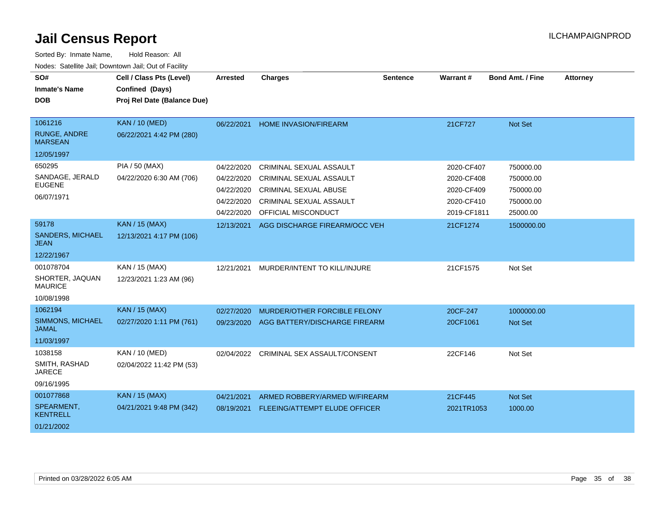| SO#<br><b>Inmate's Name</b><br><b>DOB</b> | Cell / Class Pts (Level)<br>Confined (Days)<br>Proj Rel Date (Balance Due) | <b>Arrested</b> | <b>Charges</b>                       | <b>Sentence</b> | Warrant#    | <b>Bond Amt. / Fine</b> | <b>Attorney</b> |
|-------------------------------------------|----------------------------------------------------------------------------|-----------------|--------------------------------------|-----------------|-------------|-------------------------|-----------------|
|                                           |                                                                            |                 |                                      |                 |             |                         |                 |
| 1061216                                   | <b>KAN / 10 (MED)</b>                                                      | 06/22/2021      | <b>HOME INVASION/FIREARM</b>         |                 | 21CF727     | Not Set                 |                 |
| <b>RUNGE, ANDRE</b><br><b>MARSEAN</b>     | 06/22/2021 4:42 PM (280)                                                   |                 |                                      |                 |             |                         |                 |
| 12/05/1997                                |                                                                            |                 |                                      |                 |             |                         |                 |
| 650295                                    | PIA / 50 (MAX)                                                             | 04/22/2020      | CRIMINAL SEXUAL ASSAULT              |                 | 2020-CF407  | 750000.00               |                 |
| SANDAGE, JERALD                           | 04/22/2020 6:30 AM (706)                                                   | 04/22/2020      | <b>CRIMINAL SEXUAL ASSAULT</b>       |                 | 2020-CF408  | 750000.00               |                 |
| <b>EUGENE</b>                             |                                                                            | 04/22/2020      | <b>CRIMINAL SEXUAL ABUSE</b>         |                 | 2020-CF409  | 750000.00               |                 |
| 06/07/1971                                |                                                                            | 04/22/2020      | CRIMINAL SEXUAL ASSAULT              |                 | 2020-CF410  | 750000.00               |                 |
|                                           |                                                                            | 04/22/2020      | OFFICIAL MISCONDUCT                  |                 | 2019-CF1811 | 25000.00                |                 |
| 59178                                     | <b>KAN / 15 (MAX)</b>                                                      | 12/13/2021      | AGG DISCHARGE FIREARM/OCC VEH        |                 | 21CF1274    | 1500000.00              |                 |
| <b>SANDERS, MICHAEL</b><br>JEAN           | 12/13/2021 4:17 PM (106)                                                   |                 |                                      |                 |             |                         |                 |
| 12/22/1967                                |                                                                            |                 |                                      |                 |             |                         |                 |
| 001078704                                 | KAN / 15 (MAX)                                                             | 12/21/2021      | MURDER/INTENT TO KILL/INJURE         |                 | 21CF1575    | Not Set                 |                 |
| SHORTER, JAQUAN<br><b>MAURICE</b>         | 12/23/2021 1:23 AM (96)                                                    |                 |                                      |                 |             |                         |                 |
| 10/08/1998                                |                                                                            |                 |                                      |                 |             |                         |                 |
| 1062194                                   | <b>KAN / 15 (MAX)</b>                                                      | 02/27/2020      | MURDER/OTHER FORCIBLE FELONY         |                 | 20CF-247    | 1000000.00              |                 |
| SIMMONS, MICHAEL<br><b>JAMAL</b>          | 02/27/2020 1:11 PM (761)                                                   | 09/23/2020      | AGG BATTERY/DISCHARGE FIREARM        |                 | 20CF1061    | <b>Not Set</b>          |                 |
| 11/03/1997                                |                                                                            |                 |                                      |                 |             |                         |                 |
| 1038158                                   | KAN / 10 (MED)                                                             | 02/04/2022      | CRIMINAL SEX ASSAULT/CONSENT         |                 | 22CF146     | Not Set                 |                 |
| SMITH, RASHAD<br><b>JARECE</b>            | 02/04/2022 11:42 PM (53)                                                   |                 |                                      |                 |             |                         |                 |
| 09/16/1995                                |                                                                            |                 |                                      |                 |             |                         |                 |
| 001077868                                 | <b>KAN / 15 (MAX)</b>                                                      | 04/21/2021      | ARMED ROBBERY/ARMED W/FIREARM        |                 | 21CF445     | Not Set                 |                 |
| SPEARMENT,<br><b>KENTRELL</b>             | 04/21/2021 9:48 PM (342)                                                   | 08/19/2021      | <b>FLEEING/ATTEMPT ELUDE OFFICER</b> |                 | 2021TR1053  | 1000.00                 |                 |
| 01/21/2002                                |                                                                            |                 |                                      |                 |             |                         |                 |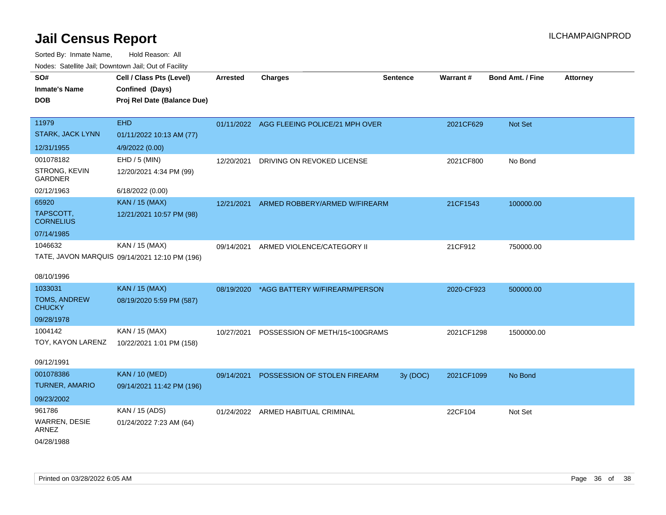| inodes: Satellite Jali, Downtown Jali, Out of Facility |                                               |                 |                                           |                 |            |                         |                 |
|--------------------------------------------------------|-----------------------------------------------|-----------------|-------------------------------------------|-----------------|------------|-------------------------|-----------------|
| SO#                                                    | Cell / Class Pts (Level)                      | <b>Arrested</b> | <b>Charges</b>                            | <b>Sentence</b> | Warrant#   | <b>Bond Amt. / Fine</b> | <b>Attorney</b> |
| <b>Inmate's Name</b>                                   | Confined (Days)                               |                 |                                           |                 |            |                         |                 |
| <b>DOB</b>                                             | Proj Rel Date (Balance Due)                   |                 |                                           |                 |            |                         |                 |
|                                                        |                                               |                 |                                           |                 |            |                         |                 |
| 11979                                                  | <b>EHD</b>                                    |                 | 01/11/2022 AGG FLEEING POLICE/21 MPH OVER |                 | 2021CF629  | Not Set                 |                 |
| STARK, JACK LYNN                                       | 01/11/2022 10:13 AM (77)                      |                 |                                           |                 |            |                         |                 |
| 12/31/1955                                             | 4/9/2022 (0.00)                               |                 |                                           |                 |            |                         |                 |
| 001078182                                              | EHD / 5 (MIN)                                 | 12/20/2021      | DRIVING ON REVOKED LICENSE                |                 | 2021CF800  | No Bond                 |                 |
| STRONG, KEVIN<br><b>GARDNER</b>                        | 12/20/2021 4:34 PM (99)                       |                 |                                           |                 |            |                         |                 |
| 02/12/1963                                             | 6/18/2022 (0.00)                              |                 |                                           |                 |            |                         |                 |
| 65920                                                  | KAN / 15 (MAX)                                | 12/21/2021      | ARMED ROBBERY/ARMED W/FIREARM             |                 | 21CF1543   | 100000.00               |                 |
| TAPSCOTT,<br><b>CORNELIUS</b>                          | 12/21/2021 10:57 PM (98)                      |                 |                                           |                 |            |                         |                 |
| 07/14/1985                                             |                                               |                 |                                           |                 |            |                         |                 |
| 1046632                                                | KAN / 15 (MAX)                                | 09/14/2021      | ARMED VIOLENCE/CATEGORY II                |                 | 21CF912    | 750000.00               |                 |
|                                                        | TATE, JAVON MARQUIS 09/14/2021 12:10 PM (196) |                 |                                           |                 |            |                         |                 |
|                                                        |                                               |                 |                                           |                 |            |                         |                 |
| 08/10/1996                                             |                                               |                 |                                           |                 |            |                         |                 |
| 1033031                                                | KAN / 15 (MAX)                                | 08/19/2020      | *AGG BATTERY W/FIREARM/PERSON             |                 | 2020-CF923 | 500000.00               |                 |
| <b>TOMS, ANDREW</b><br><b>CHUCKY</b>                   | 08/19/2020 5:59 PM (587)                      |                 |                                           |                 |            |                         |                 |
| 09/28/1978                                             |                                               |                 |                                           |                 |            |                         |                 |
| 1004142                                                | KAN / 15 (MAX)                                | 10/27/2021      | POSSESSION OF METH/15<100GRAMS            |                 | 2021CF1298 | 1500000.00              |                 |
| TOY, KAYON LARENZ                                      | 10/22/2021 1:01 PM (158)                      |                 |                                           |                 |            |                         |                 |
| 09/12/1991                                             |                                               |                 |                                           |                 |            |                         |                 |
| 001078386                                              | <b>KAN / 10 (MED)</b>                         | 09/14/2021      | POSSESSION OF STOLEN FIREARM              | 3y (DOC)        | 2021CF1099 | No Bond                 |                 |
| TURNER, AMARIO                                         | 09/14/2021 11:42 PM (196)                     |                 |                                           |                 |            |                         |                 |
| 09/23/2002                                             |                                               |                 |                                           |                 |            |                         |                 |
| 961786                                                 | KAN / 15 (ADS)                                |                 | 01/24/2022 ARMED HABITUAL CRIMINAL        |                 | 22CF104    | Not Set                 |                 |
| <b>WARREN, DESIE</b><br><b>ARNEZ</b>                   | 01/24/2022 7:23 AM (64)                       |                 |                                           |                 |            |                         |                 |
| 04/28/1988                                             |                                               |                 |                                           |                 |            |                         |                 |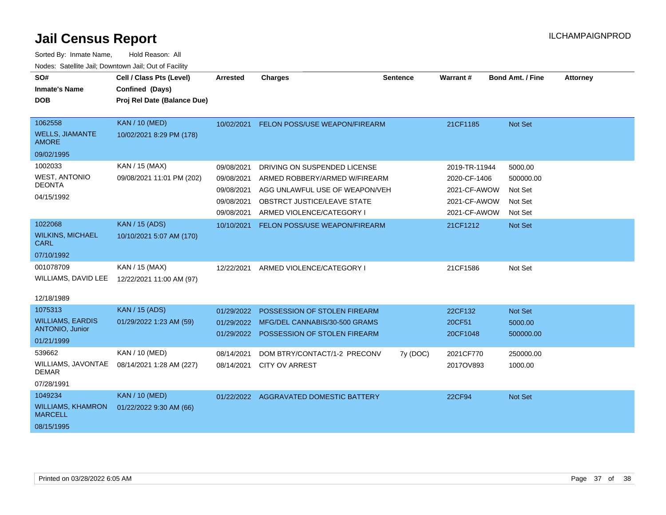| SO#                                        | Cell / Class Pts (Level)    | <b>Arrested</b> | <b>Charges</b>                          | <b>Sentence</b> | <b>Warrant#</b> | <b>Bond Amt. / Fine</b> | <b>Attorney</b> |
|--------------------------------------------|-----------------------------|-----------------|-----------------------------------------|-----------------|-----------------|-------------------------|-----------------|
| <b>Inmate's Name</b>                       | Confined (Days)             |                 |                                         |                 |                 |                         |                 |
| <b>DOB</b>                                 | Proj Rel Date (Balance Due) |                 |                                         |                 |                 |                         |                 |
|                                            |                             |                 |                                         |                 |                 |                         |                 |
| 1062558                                    | <b>KAN / 10 (MED)</b>       | 10/02/2021      | FELON POSS/USE WEAPON/FIREARM           |                 | 21CF1185        | Not Set                 |                 |
| <b>WELLS, JIAMANTE</b><br><b>AMORE</b>     | 10/02/2021 8:29 PM (178)    |                 |                                         |                 |                 |                         |                 |
| 09/02/1995                                 |                             |                 |                                         |                 |                 |                         |                 |
| 1002033                                    | KAN / 15 (MAX)              | 09/08/2021      | DRIVING ON SUSPENDED LICENSE            |                 | 2019-TR-11944   | 5000.00                 |                 |
| <b>WEST, ANTONIO</b>                       | 09/08/2021 11:01 PM (202)   | 09/08/2021      | ARMED ROBBERY/ARMED W/FIREARM           |                 | 2020-CF-1406    | 500000.00               |                 |
| <b>DEONTA</b>                              |                             | 09/08/2021      | AGG UNLAWFUL USE OF WEAPON/VEH          |                 | 2021-CF-AWOW    | Not Set                 |                 |
| 04/15/1992                                 |                             | 09/08/2021      | OBSTRCT JUSTICE/LEAVE STATE             |                 | 2021-CF-AWOW    | Not Set                 |                 |
|                                            |                             | 09/08/2021      | ARMED VIOLENCE/CATEGORY I               |                 | 2021-CF-AWOW    | Not Set                 |                 |
| 1022068                                    | <b>KAN / 15 (ADS)</b>       | 10/10/2021      | FELON POSS/USE WEAPON/FIREARM           |                 | 21CF1212        | Not Set                 |                 |
| <b>WILKINS, MICHAEL</b><br>CARL            | 10/10/2021 5:07 AM (170)    |                 |                                         |                 |                 |                         |                 |
| 07/10/1992                                 |                             |                 |                                         |                 |                 |                         |                 |
| 001078709                                  | KAN / 15 (MAX)              | 12/22/2021      | ARMED VIOLENCE/CATEGORY I               |                 | 21CF1586        | Not Set                 |                 |
| WILLIAMS, DAVID LEE                        | 12/22/2021 11:00 AM (97)    |                 |                                         |                 |                 |                         |                 |
| 12/18/1989                                 |                             |                 |                                         |                 |                 |                         |                 |
| 1075313                                    | <b>KAN / 15 (ADS)</b>       | 01/29/2022      | POSSESSION OF STOLEN FIREARM            |                 | 22CF132         | Not Set                 |                 |
| <b>WILLIAMS, EARDIS</b>                    | 01/29/2022 1:23 AM (59)     | 01/29/2022      | MFG/DEL CANNABIS/30-500 GRAMS           |                 | 20CF51          | 5000.00                 |                 |
| <b>ANTONIO, Junior</b>                     |                             |                 | 01/29/2022 POSSESSION OF STOLEN FIREARM |                 | 20CF1048        | 500000.00               |                 |
| 01/21/1999                                 |                             |                 |                                         |                 |                 |                         |                 |
| 539662                                     | KAN / 10 (MED)              | 08/14/2021      | DOM BTRY/CONTACT/1-2 PRECONV            | 7y (DOC)        | 2021CF770       | 250000.00               |                 |
| WILLIAMS, JAVONTAE<br><b>DEMAR</b>         | 08/14/2021 1:28 AM (227)    | 08/14/2021      | <b>CITY OV ARREST</b>                   |                 | 2017OV893       | 1000.00                 |                 |
| 07/28/1991                                 |                             |                 |                                         |                 |                 |                         |                 |
| 1049234                                    | <b>KAN / 10 (MED)</b>       |                 | 01/22/2022 AGGRAVATED DOMESTIC BATTERY  |                 | 22CF94          | Not Set                 |                 |
| <b>WILLIAMS, KHAMRON</b><br><b>MARCELL</b> | 01/22/2022 9:30 AM (66)     |                 |                                         |                 |                 |                         |                 |
| 08/15/1995                                 |                             |                 |                                         |                 |                 |                         |                 |